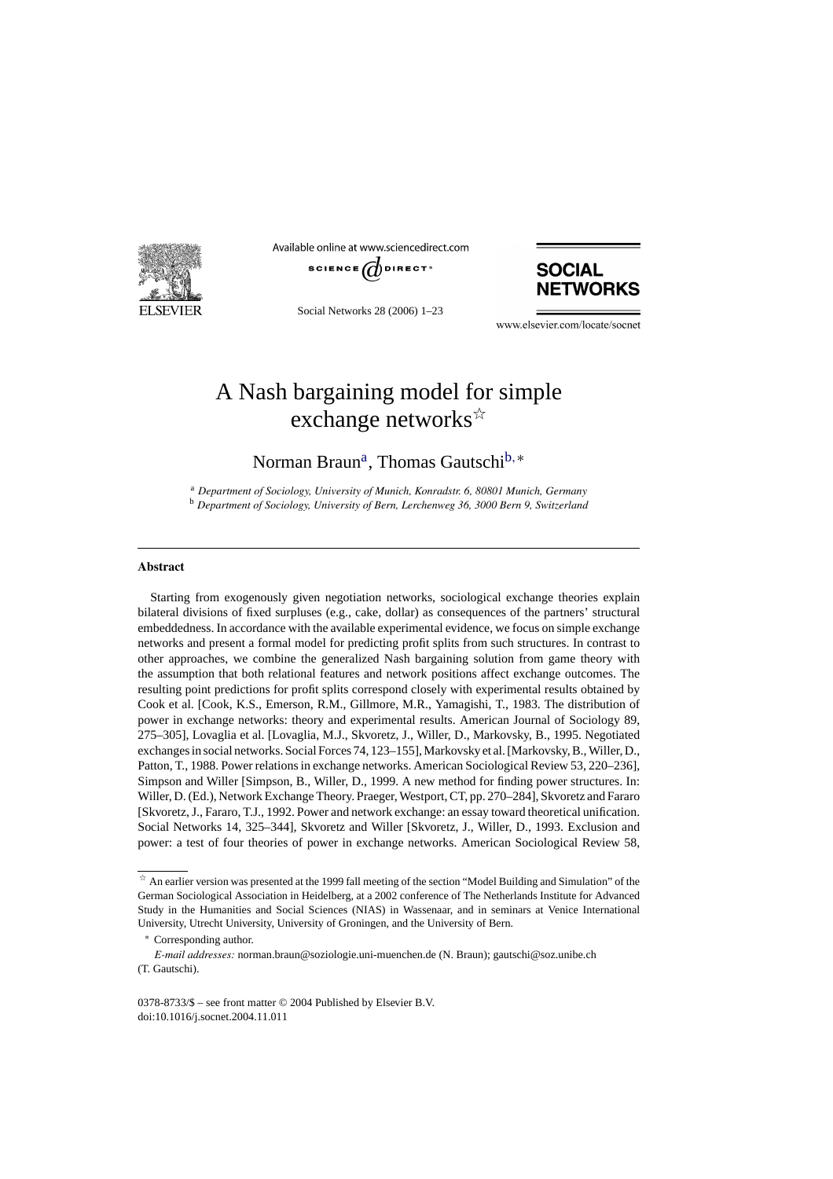

Available online at www.sciencedirect.com



**SOCIAL NETWORKS** 

Social Networks 28 (2006) 1–23

www.elsevier.com/locate/socnet

# A Nash bargaining model for simple exchange networks $\mathbb{\hat{z}}$

Norman Braun<sup>a</sup>, Thomas Gautschi<sup>b,\*</sup>

<sup>a</sup> *Department of Sociology, University of Munich, Konradstr. 6, 80801 Munich, Germany*

<sup>b</sup> *Department of Sociology, University of Bern, Lerchenweg 36, 3000 Bern 9, Switzerland*

#### **Abstract**

Starting from exogenously given negotiation networks, sociological exchange theories explain bilateral divisions of fixed surpluses (e.g., cake, dollar) as consequences of the partners' structural embeddedness. In accordance with the available experimental evidence, we focus on simple exchange networks and present a formal model for predicting profit splits from such structures. In contrast to other approaches, we combine the generalized Nash bargaining solution from game theory with the assumption that both relational features and network positions affect exchange outcomes. The resulting point predictions for profit splits correspond closely with experimental results obtained by Cook et al. [Cook, K.S., Emerson, R.M., Gillmore, M.R., Yamagishi, T., 1983. The distribution of power in exchange networks: theory and experimental results. American Journal of Sociology 89, 275–305], Lovaglia et al. [Lovaglia, M.J., Skvoretz, J., Willer, D., Markovsky, B., 1995. Negotiated exchanges in social networks. Social Forces 74, 123–155], Markovsky et al. [Markovsky, B., Willer, D., Patton, T., 1988. Power relations in exchange networks. American Sociological Review 53, 220–236], Simpson and Willer [Simpson, B., Willer, D., 1999. A new method for finding power structures. In: Willer, D. (Ed.), Network Exchange Theory. Praeger, Westport, CT, pp. 270–284], Skvoretz and Fararo [Skvoretz, J., Fararo, T.J., 1992. Power and network exchange: an essay toward theoretical unification. Social Networks 14, 325–344], Skvoretz and Willer [Skvoretz, J., Willer, D., 1993. Exclusion and power: a test of four theories of power in exchange networks. American Sociological Review 58,

 $*$  An earlier version was presented at the 1999 fall meeting of the section "Model Building and Simulation" of the German Sociological Association in Heidelberg, at a 2002 conference of The Netherlands Institute for Advanced Study in the Humanities and Social Sciences (NIAS) in Wassenaar, and in seminars at Venice International University, Utrecht University, University of Groningen, and the University of Bern.

<sup>∗</sup> Corresponding author.

*E-mail addresses:* norman.braun@soziologie.uni-muenchen.de (N. Braun); gautschi@soz.unibe.ch (T. Gautschi).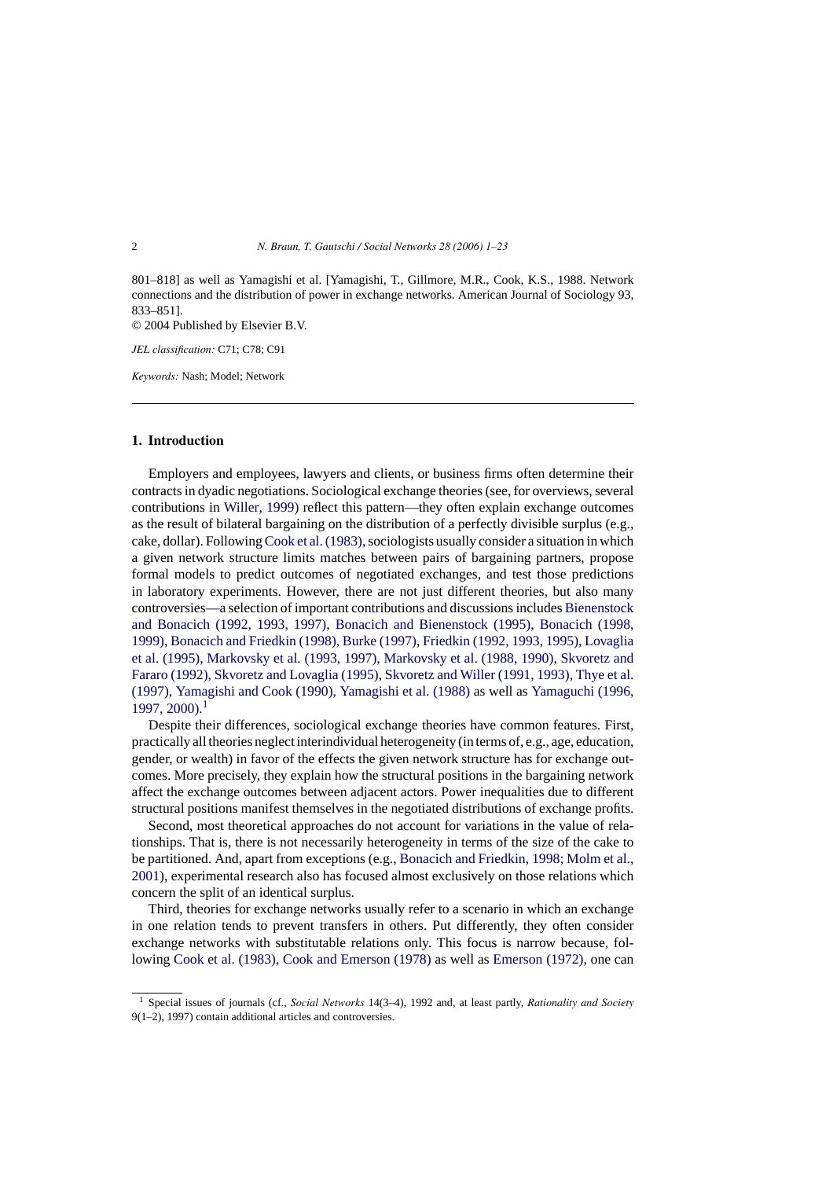801–818] as well as Yamagishi et al. [Yamagishi, T., Gillmore, M.R., Cook, K.S., 1988. Network connections and the distribution of power in exchange networks. American Journal of Sociology 93, 833–851].

© 2004 Published by Elsevier B.V.

*JEL classification:* C71; C78; C91

*Keywords:* Nash; Model; Network

# **1. Introduction**

Employers and employees, lawyers and clients, or business firms often determine their contracts in dyadic negotiations. Sociological exchange theories (see, for overviews, several contributions in [Willer, 1999\)](#page-21-0) reflect this pattern—they often explain exchange outcomes as the result of bilateral bargaining on the distribution of a perfectly divisible surplus (e.g., cake, dollar). Following[Cook et al. \(1983\), s](#page-20-0)ociologists usually consider a situation in which a given network structure limits matches between pairs of bargaining partners, propose formal models to predict outcomes of negotiated exchanges, and test those predictions in laboratory experiments. However, there are not just different theories, but also many controversies—a selection of important contributions and discussions includes [Bienenstock](#page-20-0) and Bonacich [\(1992, 1993, 1997\),](#page-20-0) [Bonacich and Bienenstock](#page-20-0) [\(1995\),](#page-20-0) [Bonacich \(1998,](#page-20-0) [1999\),](#page-20-0) [Bonacich and Friedkin \(1998\), Burke \(1997\),](#page-20-0) [Friedkin \(1992, 1993, 1995\),](#page-21-0) [Lovaglia](#page-21-0) et al. [\(1995\),](#page-21-0) [Markovsky et al. \(1993, 1997\),](#page-21-0) [Markovsky et al. \(1988, 1990\),](#page-21-0) [Skvoretz and](#page-21-0) Fararo [\(1992\), Skvoretz and Lovaglia \(1995\),](#page-21-0) [Skvoretz and Willer \(1991, 1993\),](#page-21-0) [Thye et al.](#page-21-0) [\(1997\), Yamagishi and Cook \(1990\), Yamagishi et al. \(1988\)](#page-21-0) as well as [Yamaguchi \(1996,](#page-21-0) [1997, 2000\).](#page-21-0) 1

Despite their differences, sociological exchange theories have common features. First, practically all theories neglect interindividual heterogeneity (in terms of, e.g., age, education, gender, or wealth) in favor of the effects the given network structure has for exchange outcomes. More precisely, they explain how the structural positions in the bargaining network affect the exchange outcomes between adjacent actors. Power inequalities due to different structural positions manifest themselves in the negotiated distributions of exchange profits.

Second, most theoretical approaches do not account for variations in the value of relationships. That is, there is not necessarily heterogeneity in terms of the size of the cake to be partitioned. And, apart from exceptions (e.g., [Bonacich and Friedkin, 1998; Molm et al.,](#page-20-0) [2001\),](#page-20-0) experimental research also has focused almost exclusively on those relations which concern the split of an identical surplus.

Third, theories for exchange networks usually refer to a scenario in which an exchange in one relation tends to prevent transfers in others. Put differently, they often consider exchange networks with substitutable relations only. This focus is narrow because, following [Cook et al. \(1983\), Cook and Emerson \(1978\)](#page-20-0) as well as [Emerson \(1972\), o](#page-20-0)ne can

<sup>1</sup> Special issues of journals (cf., *Social Networks* 14(3–4), 1992 and, at least partly, *Rationality and Society* 9(1–2), 1997) contain additional articles and controversies.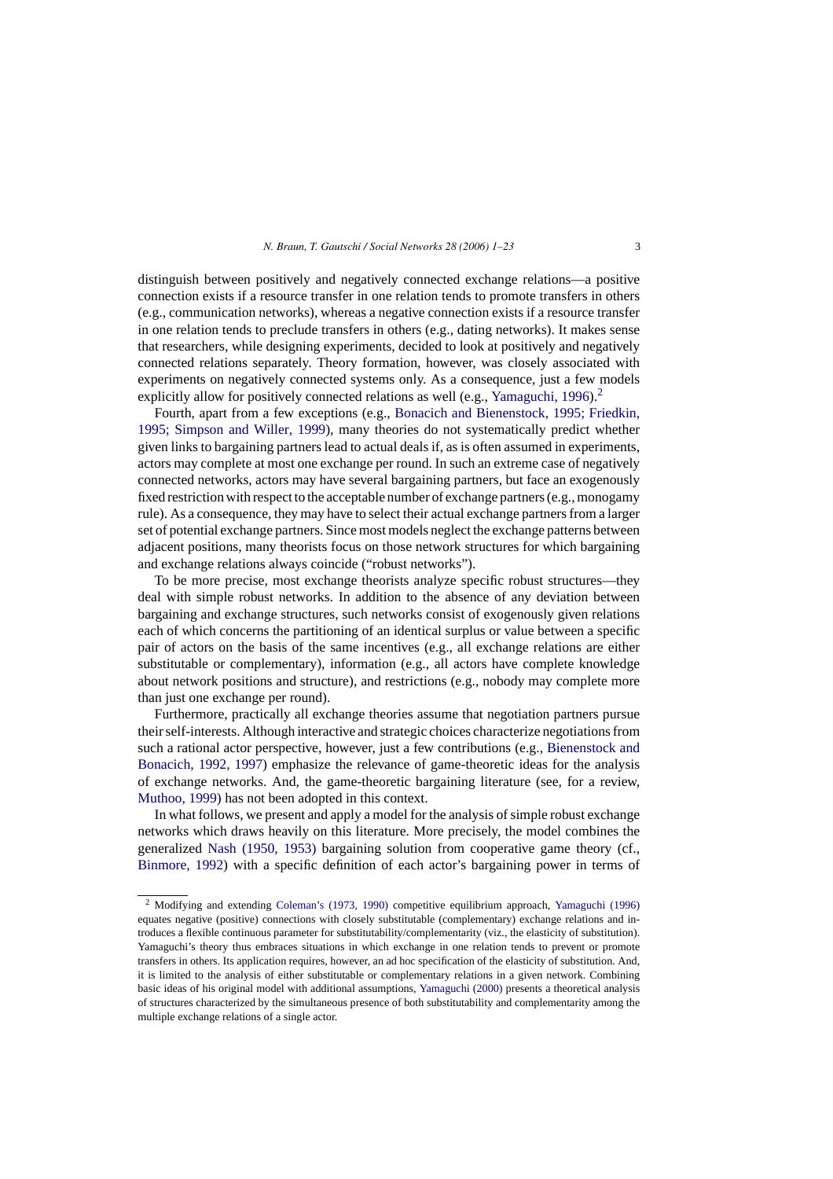distinguish between positively and negatively connected exchange relations—a positive connection exists if a resource transfer in one relation tends to promote transfers in others (e.g., communication networks), whereas a negative connection exists if a resource transfer in one relation tends to preclude transfers in others (e.g., dating networks). It makes sense that researchers, while designing experiments, decided to look at positively and negatively connected relations separately. Theory formation, however, was closely associated with experiments on negatively connected systems only. As a consequence, just a few models explicitly allow for positively connected relations as well (e.g., [Yamaguchi, 1996\).](#page-21-0)<sup>2</sup>

Fourth, apart from a few exceptions (e.g., [Bonacich and Bienenstock, 1995; Friedkin,](#page-20-0) [1995; Simpson and Willer, 1999\),](#page-20-0) many theories do not systematically predict whether given links to bargaining partners lead to actual deals if, as is often assumed in experiments, actors may complete at most one exchange per round. In such an extreme case of negatively connected networks, actors may have several bargaining partners, but face an exogenously fixed restriction with respect to the acceptable number of exchange partners (e.g., monogamy rule). As a consequence, they may have to select their actual exchange partners from a larger set of potential exchange partners. Since most models neglect the exchange patterns between adjacent positions, many theorists focus on those network structures for which bargaining and exchange relations always coincide ("robust networks").

To be more precise, most exchange theorists analyze specific robust structures—they deal with simple robust networks. In addition to the absence of any deviation between bargaining and exchange structures, such networks consist of exogenously given relations each of which concerns the partitioning of an identical surplus or value between a specific pair of actors on the basis of the same incentives (e.g., all exchange relations are either substitutable or complementary), information (e.g., all actors have complete knowledge about network positions and structure), and restrictions (e.g., nobody may complete more than just one exchange per round).

Furthermore, practically all exchange theories assume that negotiation partners pursue their self-interests. Although interactive and strategic choices characterize negotiations from such a rational actor perspective, however, just a few contributions (e.g., [Bienenstock and](#page-20-0) Bonacic[h, 1992, 1997\)](#page-20-0) emphasize the relevance of game-theoretic ideas for the analysis of exchange networks. And, the game-theoretic bargaining literature (see, for a review, [Muthoo, 1999\)](#page-21-0) has not been adopted in this context.

In what follows, we present and apply a model for the analysis of simple robust exchange networks which draws heavily on this literature. More precisely, the model combines the generalized [Nash \(1950, 1953\)](#page-21-0) bargaining solution from cooperative game theory (cf., [Binmore, 1992\)](#page-20-0) with a specific definition of each actor's bargaining power in terms of

<sup>2</sup> Modifying and extending [Coleman's \(1973, 1990\)](#page-20-0) competitive equilibrium approach, [Yamaguchi \(1996\)](#page-21-0) equates negative (positive) connections with closely substitutable (complementary) exchange relations and introduces a flexible continuous parameter for substitutability/complementarity (viz., the elasticity of substitution). Yamaguchi's theory thus embraces situations in which exchange in one relation tends to prevent or promote transfers in others. Its application requires, however, an ad hoc specification of the elasticity of substitution. And, it is limited to the analysis of either substitutable or complementary relations in a given network. Combining basic ideas of his original model with additional assumptions, [Yamaguchi \(2000\)](#page-22-0) presents a theoretical analysis of structures characterized by the simultaneous presence of both substitutability and complementarity among the multiple exchange relations of a single actor.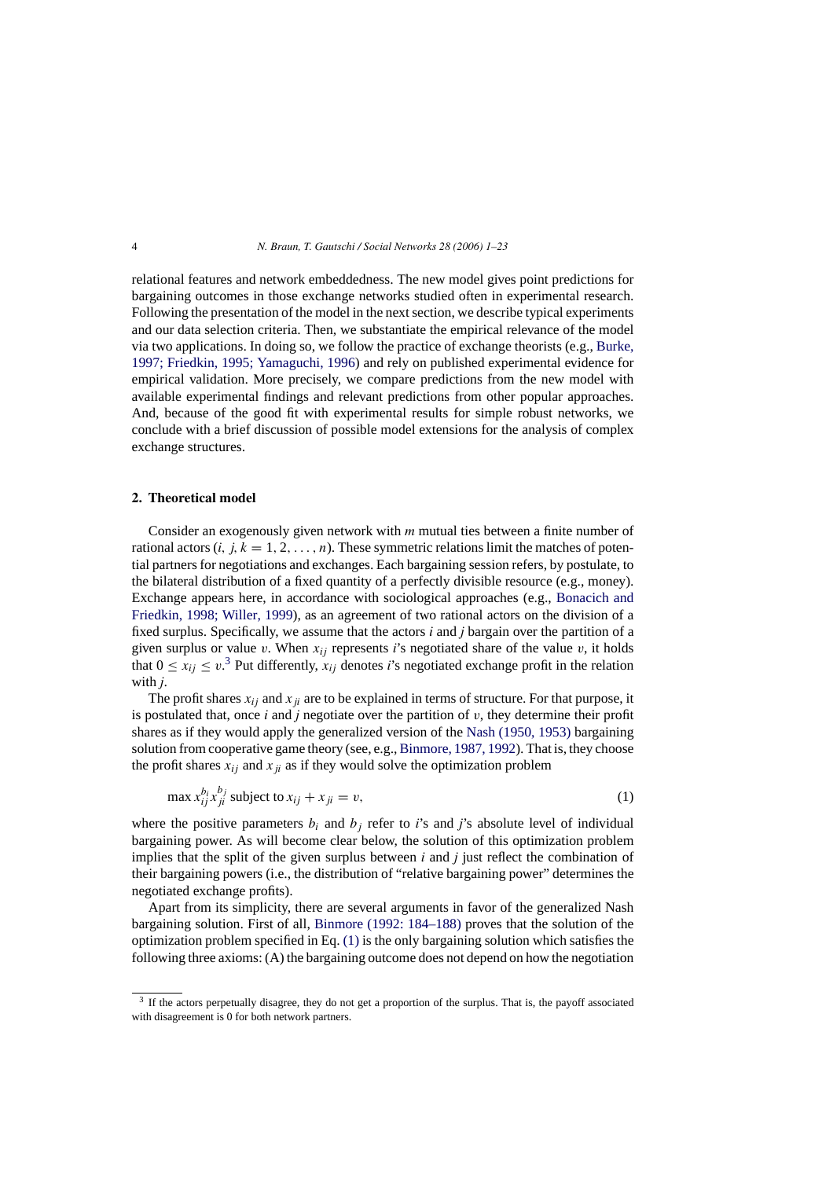<span id="page-3-0"></span>relational features and network embeddedness. The new model gives point predictions for bargaining outcomes in those exchange networks studied often in experimental research. Following the presentation of the model in the next section, we describe typical experiments and our data selection criteria. Then, we substantiate the empirical relevance of the model via two applications. In doing so, we follow the practice of exchange theorists (e.g., [Burke,](#page-20-0) [1997; Friedkin, 1995; Yamaguchi, 1996\)](#page-20-0) and rely on published experimental evidence for empirical validation. More precisely, we compare predictions from the new model with available experimental findings and relevant predictions from other popular approaches. And, because of the good fit with experimental results for simple robust networks, we conclude with a brief discussion of possible model extensions for the analysis of complex exchange structures.

## **2. Theoretical model**

Consider an exogenously given network with *m* mutual ties between a finite number of rational actors  $(i, j, k = 1, 2, \ldots, n)$ . These symmetric relations limit the matches of potential partners for negotiations and exchanges. Each bargaining session refers, by postulate, to the bilateral distribution of a fixed quantity of a perfectly divisible resource (e.g., money). Exchange appears here, in accordance with sociological approaches (e.g., [Bonacich and](#page-20-0) Friedkin[, 1998; Willer, 1999\),](#page-20-0) as an agreement of two rational actors on the division of a fixed surplus. Specifically, we assume that the actors *i* and *j* bargain over the partition of a given surplus or value v. When  $x_{ij}$  represents *i*'s negotiated share of the value v, it holds that  $0 \le x_{ij} \le v^3$  Put differently,  $x_{ij}$  denotes *i*'s negotiated exchange profit in the relation with *j*.

The profit shares  $x_{ij}$  and  $x_{ji}$  are to be explained in terms of structure. For that purpose, it is postulated that, once  $i$  and  $j$  negotiate over the partition of  $v$ , they determine their profit shares as if they would apply the generalized version of the [Nash \(1950, 1953\)](#page-21-0) bargaining solution from cooperative game theory (see, e.g., [Binmore, 1987, 1992\).](#page-20-0) That is, they choose the profit shares  $x_{ij}$  and  $x_{ji}$  as if they would solve the optimization problem

$$
\max x_{ij}^{b_i} x_{ji}^{b_j} \text{ subject to } x_{ij} + x_{ji} = v,\tag{1}
$$

where the positive parameters  $b_i$  and  $b_j$  refer to *i*'s and *j*'s absolute level of individual bargaining power. As will become clear below, the solution of this optimization problem implies that the split of the given surplus between *i* and *j* just reflect the combination of their bargaining powers (i.e., the distribution of "relative bargaining power" determines the negotiated exchange profits).

Apart from its simplicity, there are several arguments in favor of the generalized Nash bargaining solution. First of all, [Binmore \(1992: 184–188\)](#page-20-0) proves that the solution of the optimization problem specified in Eq. (1) is the only bargaining solution which satisfies the following three axioms: (A) the bargaining outcome does not depend on how the negotiation

<sup>&</sup>lt;sup>3</sup> If the actors perpetually disagree, they do not get a proportion of the surplus. That is, the payoff associated with disagreement is 0 for both network partners.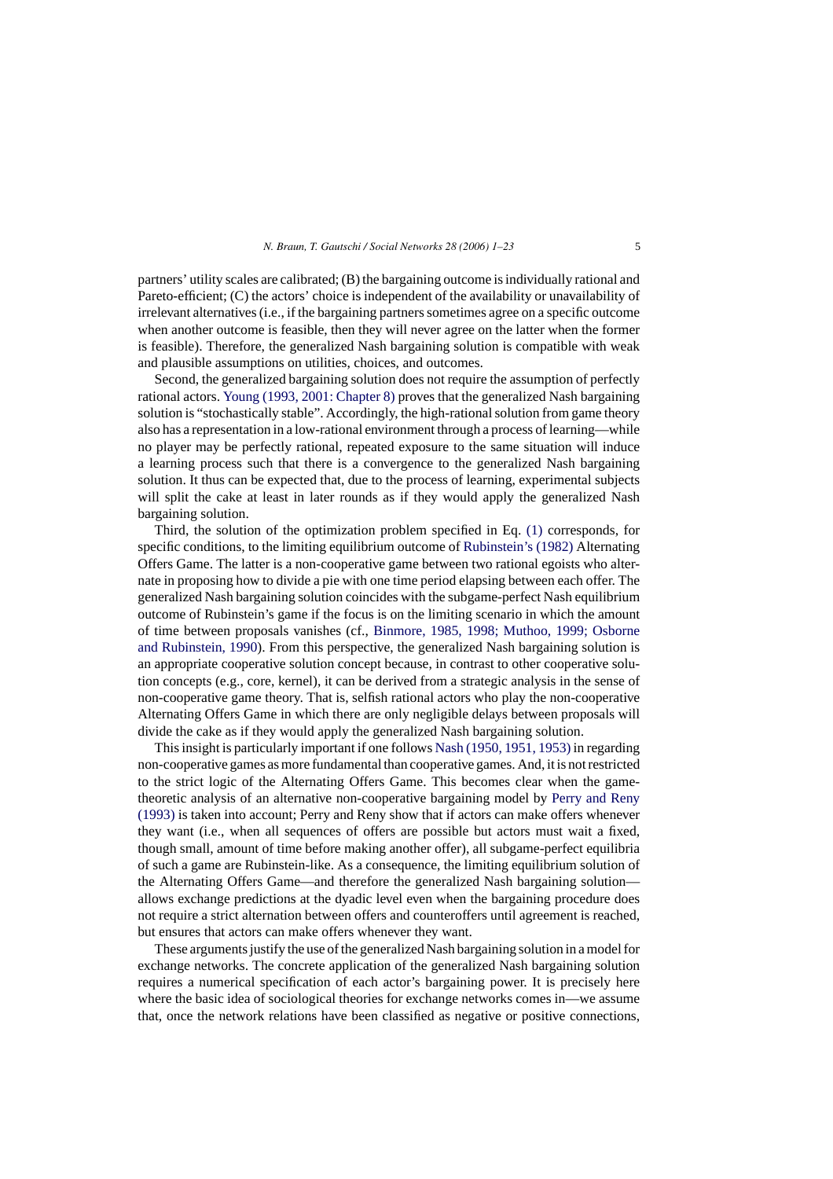partners' utility scales are calibrated; (B) the bargaining outcome is individually rational and Pareto-efficient; (C) the actors' choice is independent of the availability or unavailability of irrelevant alternatives (i.e., if the bargaining partners sometimes agree on a specific outcome when another outcome is feasible, then they will never agree on the latter when the former is feasible). Therefore, the generalized Nash bargaining solution is compatible with weak and plausible assumptions on utilities, choices, and outcomes.

Second, the generalized bargaining solution does not require the assumption of perfectly rational actors. [Young \(1993, 2001: Chapter 8\)](#page-22-0) proves that the generalized Nash bargaining solution is "stochastically stable". Accordingly, the high-rational solution from game theory also has a representation in a low-rational environment through a process of learning—while no player may be perfectly rational, repeated exposure to the same situation will induce a learning process such that there is a convergence to the generalized Nash bargaining solution. It thus can be expected that, due to the process of learning, experimental subjects will split the cake at least in later rounds as if they would apply the generalized Nash bargaining solution.

Third, the solution of the optimization problem specified in Eq. [\(1\)](#page-3-0) corresponds, for specific conditions, to the limiting equilibrium outcome of [Rubinstein's \(1982\)](#page-21-0) Alternating Offers Game. The latter is a non-cooperative game between two rational egoists who alternate in proposing how to divide a pie with one time period elapsing between each offer. The generalized Nash bargaining solution coincides with the subgame-perfect Nash equilibrium outcome of Rubinstein's game if the focus is on the limiting scenario in which the amount of time between proposals vanishes (cf., [Binmore, 1985, 1998; Muthoo, 1999; Osborne](#page-20-0) and Rubinstein[, 1990\).](#page-20-0) From this perspective, the generalized Nash bargaining solution is an appropriate cooperative solution concept because, in contrast to other cooperative solution concepts (e.g., core, kernel), it can be derived from a strategic analysis in the sense of non-cooperative game theory. That is, selfish rational actors who play the non-cooperative Alternating Offers Game in which there are only negligible delays between proposals will divide the cake as if they would apply the generalized Nash bargaining solution.

This insight is particularly important if one follows [Nash \(1950, 1951, 1953\)](#page-21-0) [in](#page-21-0) regarding non-cooperative games as more fundamental than cooperative games. And, it is not restricted to the strict logic of the Alternating Offers Game. This becomes clear when the gametheoretic analysis of an alternative non-cooperative bargaining model by [Perry and Reny](#page-21-0) [\(1993\)](#page-21-0) is taken into account; Perry and Reny show that if actors can make offers whenever they want (i.e., when all sequences of offers are possible but actors must wait a fixed, though small, amount of time before making another offer), all subgame-perfect equilibria of such a game are Rubinstein-like. As a consequence, the limiting equilibrium solution of the Alternating Offers Game—and therefore the generalized Nash bargaining solution allows exchange predictions at the dyadic level even when the bargaining procedure does not require a strict alternation between offers and counteroffers until agreement is reached, but ensures that actors can make offers whenever they want.

These arguments justify the use of the generalized Nash bargaining solution in a model for exchange networks. The concrete application of the generalized Nash bargaining solution requires a numerical specification of each actor's bargaining power. It is precisely here where the basic idea of sociological theories for exchange networks comes in—we assume that, once the network relations have been classified as negative or positive connections,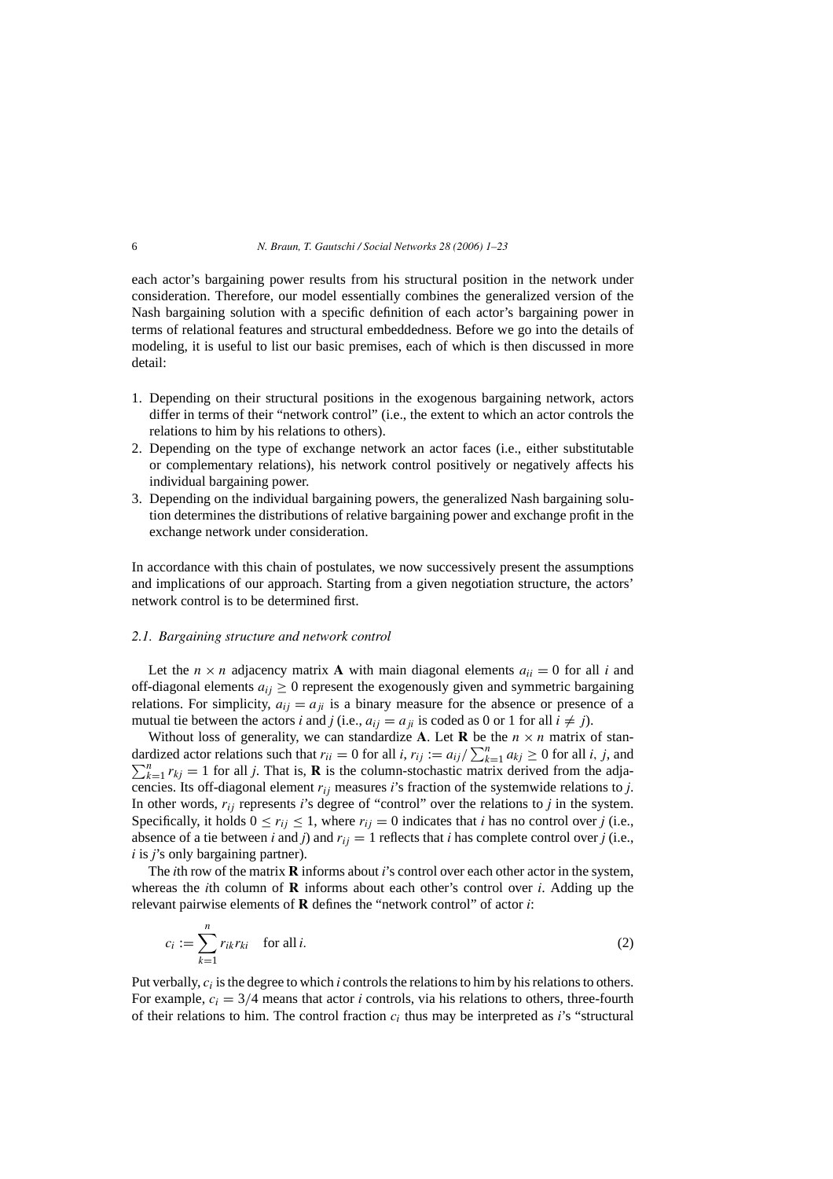<span id="page-5-0"></span>each actor's bargaining power results from his structural position in the network under consideration. Therefore, our model essentially combines the generalized version of the Nash bargaining solution with a specific definition of each actor's bargaining power in terms of relational features and structural embeddedness. Before we go into the details of modeling, it is useful to list our basic premises, each of which is then discussed in more detail:

- 1. Depending on their structural positions in the exogenous bargaining network, actors differ in terms of their "network control" (i.e., the extent to which an actor controls the relations to him by his relations to others).
- 2. Depending on the type of exchange network an actor faces (i.e., either substitutable or complementary relations), his network control positively or negatively affects his individual bargaining power.
- 3. Depending on the individual bargaining powers, the generalized Nash bargaining solution determines the distributions of relative bargaining power and exchange profit in the exchange network under consideration.

In accordance with this chain of postulates, we now successively present the assumptions and implications of our approach. Starting from a given negotiation structure, the actors' network control is to be determined first.

## *2.1. Bargaining structure and network control*

Let the  $n \times n$  adjacency matrix **A** with main diagonal elements  $a_{ii} = 0$  for all *i* and off-diagonal elements  $a_{ij} \geq 0$  represent the exogenously given and symmetric bargaining relations. For simplicity,  $a_{ij} = a_{ji}$  is a binary measure for the absence or presence of a mutual tie between the actors *i* and *j* (i.e.,  $a_{ij} = a_{ji}$  is coded as 0 or 1 for all  $i \neq j$ ).

Without loss of generality, we can standardize **A**. Let **R** be the  $n \times n$  matrix of standardized actor relations such that  $r_{ii} = 0$  for all *i*,  $r_{ij} := a_{ij} / \sum_{k=1}^{n}$ dardized actor relations such that  $r_{ii} = 0$  for all *i*,  $r_{ij} := a_{ij} / \sum_{k=1}^{n} a_{kj} \ge 0$  for all *i*, *j*, and  $\sum_{k=1}^{n} r_{kj} = 1$  for all *j*. That is, **R** is the column-stochastic matrix derived from the adjacencies. Its off-diagonal element  $r_{ij}$  measures *i*'s fraction of the systemwide relations to *j*. In other words,  $r_{ij}$  represents *i*'s degree of "control" over the relations to  $j$  in the system. Specifically, it holds  $0 \le r_{ij} \le 1$ , where  $r_{ij} = 0$  indicates that *i* has no control over *j* (i.e., absence of a tie between *i* and *j*) and  $r_{ij} = 1$  reflects that *i* has complete control over *j* (i.e., *i* is *j*'s only bargaining partner).

The *i*th row of the matrix **R** informs about *i*'s control over each other actor in the system, whereas the *i*th column of **R** informs about each other's control over *i*. Adding up the relevant pairwise elements of **R** defines the "network control" of actor *i*:

$$
c_i := \sum_{k=1}^n r_{ik} r_{ki} \quad \text{for all } i.
$$
 (2)

Put verbally,  $c_i$  is the degree to which *i* controls the relations to him by his relations to others. For example,  $c_i = 3/4$  means that actor *i* controls, via his relations to others, three-fourth of their relations to him. The control fraction  $c_i$  thus may be interpreted as *i*'s "structural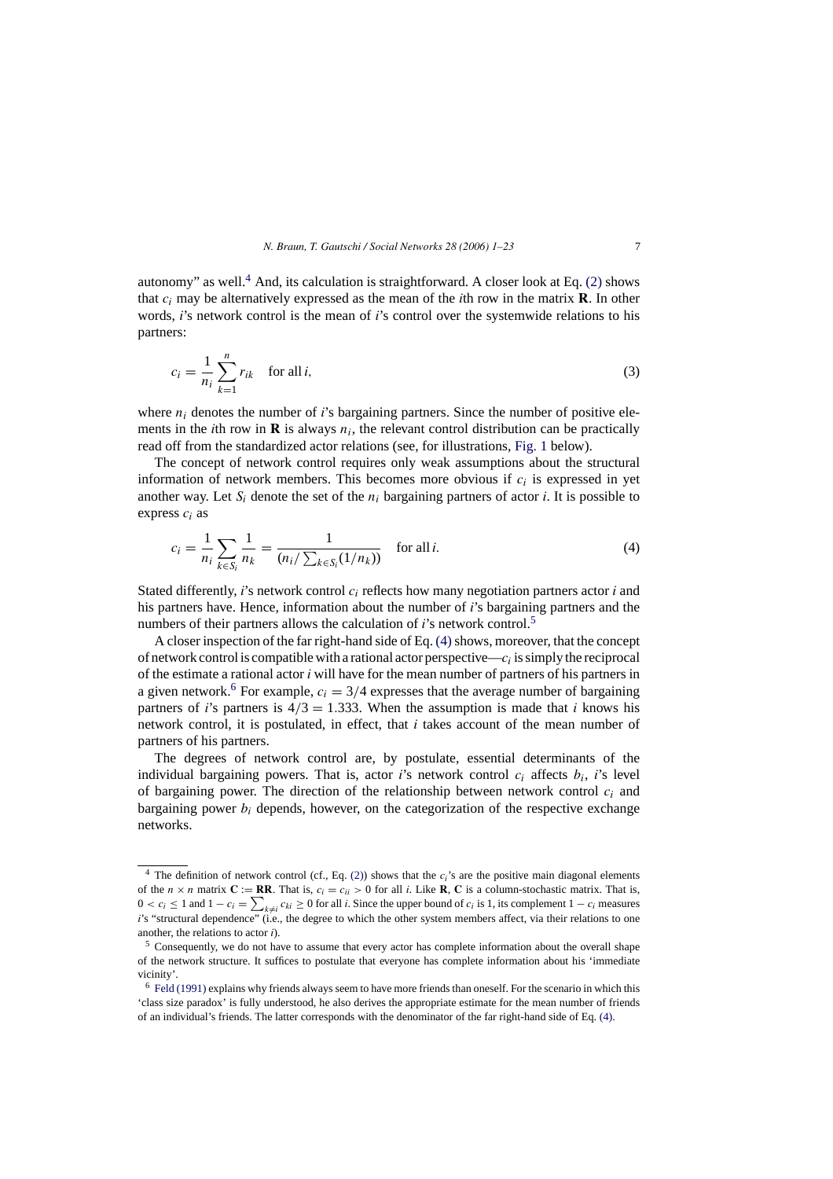autonomy" as well.<sup>4</sup> And, its calculation is straightforward. A closer look at Eq. [\(2\)](#page-5-0) shows that  $c_i$  may be alternatively expressed as the mean of the *i*th row in the matrix **R**. In other words, *i*'s network control is the mean of *i*'s control over the systemwide relations to his partners:

$$
c_i = \frac{1}{n_i} \sum_{k=1}^{n} r_{ik} \quad \text{for all } i,
$$
\n(3)

where  $n_i$  denotes the number of *i*'s bargaining partners. Since the number of positive elements in the *i*th row in **R** is always  $n_i$ , the relevant control distribution can be practically read off from the standardized actor relations (see, for illustrations, [Fig. 1](#page-11-0) below).

The concept of network control requires only weak assumptions about the structural information of network members. This becomes more obvious if  $c_i$  is expressed in yet another way. Let  $S_i$  denote the set of the  $n_i$  bargaining partners of actor *i*. It is possible to express  $c_i$  as

$$
c_i = \frac{1}{n_i} \sum_{k \in S_i} \frac{1}{n_k} = \frac{1}{(n_i / \sum_{k \in S_i} (1/n_k))} \quad \text{for all } i.
$$
 (4)

Stated differently, *i*'s network control  $c_i$  reflects how many negotiation partners actor *i* and his partners have. Hence, information about the number of *i*'s bargaining partners and the numbers of their partners allows the calculation of *i*'s network control.<sup>5</sup>

A closer inspection of the far right-hand side of Eq.  $(4)$  shows, moreover, that the concept of network control is compatible with a rational actor perspective— $c_i$  is simply the reciprocal of the estimate a rational actor *i* will have for the mean number of partners of his partners in a given network.<sup>6</sup> For example,  $c_i = 3/4$  expresses that the average number of bargaining partners of *i*'s partners is  $4/3 = 1.333$ . When the assumption is made that *i* knows his network control, it is postulated, in effect, that *i* takes account of the mean number of partners of his partners.

The degrees of network control are, by postulate, essential determinants of the individual bargaining powers. That is, actor *i*'s network control  $c_i$  affects  $b_i$ , *i*'s level of bargaining power. The direction of the relationship between network control  $c_i$  and bargaining power  $b_i$  depends, however, on the categorization of the respective exchange networks.

<sup>&</sup>lt;sup>4</sup> The definition of network control (cf., Eq. [\(2\)\)](#page-5-0) shows that the  $c_i$ 's are the positive main diagonal elements of the  $n \times n$  matrix  $C := RR$ . That is,  $c_i = c_{ii} > 0$  for all *i*. Like **R**, **C** is a column-stochastic matrix. That is,  $0 < c_i \le 1$  and  $1 - c_i = \sum_{k \ne i} c_{ki} \ge 0$  for all *i*. Since the upper bound of  $c_i$  is 1, its complement  $1 - c_i$  measures *i*'s "structural dependence" (i.e., the degree to which the other system members affect, via their relations to one another, the relations to actor *i*).

<sup>&</sup>lt;sup>5</sup> Consequently, we do not have to assume that every actor has complete information about the overall shape of the network structure. It suffices to postulate that everyone has complete information about his 'immediate vicinity'.

 $6$  [Feld \(1991\)](#page-20-0) [e](#page-20-0)xplains why friends always seem to have more friends than oneself. For the scenario in which this 'class size paradox' is fully understood, he also derives the appropriate estimate for the mean number of friends of an individual's friends. The latter corresponds with the denominator of the far right-hand side of Eq. (4).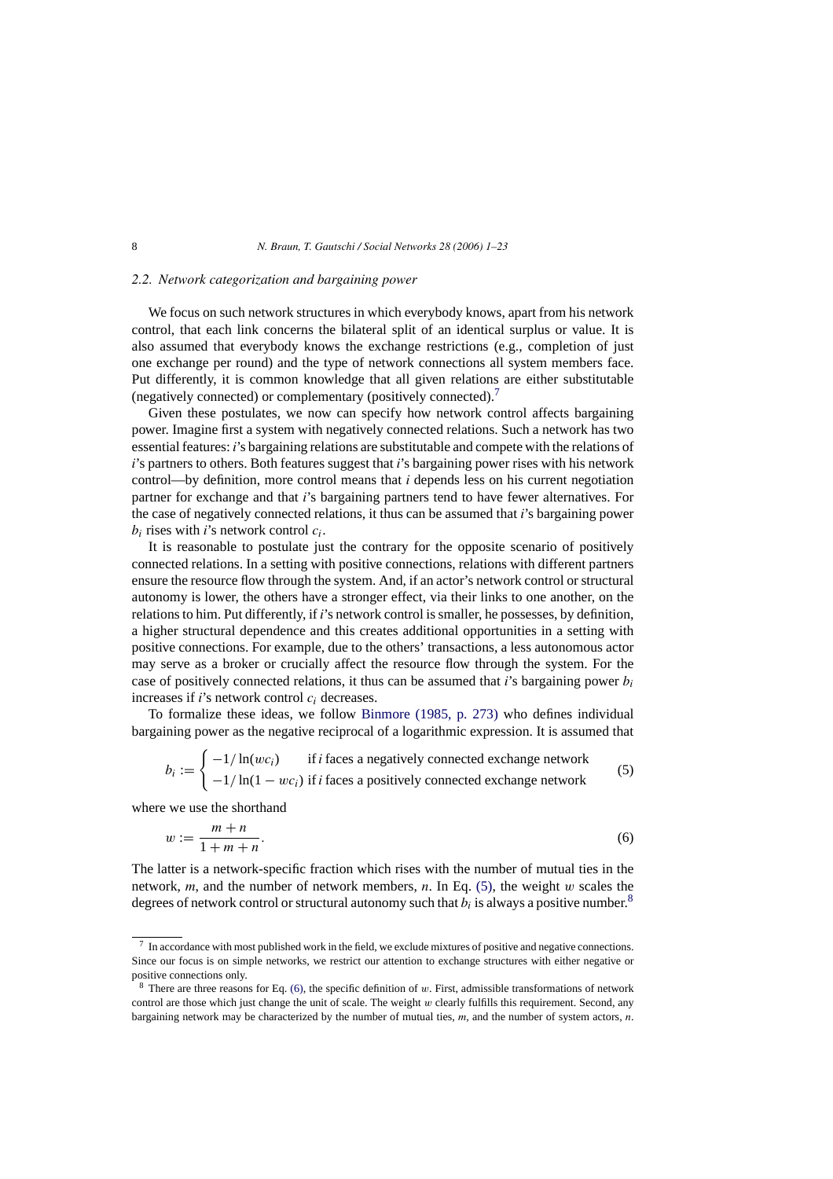## <span id="page-7-0"></span>*2.2. Network categorization and bargaining power*

We focus on such network structures in which everybody knows, apart from his network control, that each link concerns the bilateral split of an identical surplus or value. It is also assumed that everybody knows the exchange restrictions (e.g., completion of just one exchange per round) and the type of network connections all system members face. Put differently, it is common knowledge that all given relations are either substitutable (negatively connected) or complementary (positively connected).7

Given these postulates, we now can specify how network control affects bargaining power. Imagine first a system with negatively connected relations. Such a network has two essential features: *i*'s bargaining relations are substitutable and compete with the relations of *i*'s partners to others. Both features suggest that *i*'s bargaining power rises with his network control—by definition, more control means that  $i$  depends less on his current negotiation partner for exchange and that *i*'s bargaining partners tend to have fewer alternatives. For the case of negatively connected relations, it thus can be assumed that *i*'s bargaining power  $b_i$  rises with *i*'s network control  $c_i$ .

It is reasonable to postulate just the contrary for the opposite scenario of positively connected relations. In a setting with positive connections, relations with different partners ensure the resource flow through the system. And, if an actor's network control or structural autonomy is lower, the others have a stronger effect, via their links to one another, on the relations to him. Put differently, if *i*'s network control is smaller, he possesses, by definition, a higher structural dependence and this creates additional opportunities in a setting with positive connections. For example, due to the others' transactions, a less autonomous actor may serve as a broker or crucially affect the resource flow through the system. For the case of positively connected relations, it thus can be assumed that *i*'s bargaining power  $b_i$ increases if  $i$ 's network control  $c_i$  decreases.

To formalize these ideas, we follow [Binmore \(1985, p. 273\)](#page-20-0) who defines individual bargaining power as the negative reciprocal of a logarithmic expression. It is assumed that

$$
b_i := \begin{cases} -1/\ln(wc_i) & \text{if } i \text{ faces a negatively connected exchange network} \\ -1/\ln(1 - wc_i) & \text{if } i \text{ faces a positively connected exchange network} \end{cases}
$$
(5)

where we use the shorthand

$$
w := \frac{m+n}{1+m+n}.\tag{6}
$$

The latter is a network-specific fraction which rises with the number of mutual ties in the network, *m*, and the number of network members, *n*. In Eq. (5), the weight w scales the degrees of network control or structural autonomy such that  $b_i$  is always a positive number.<sup>8</sup>

<sup>7</sup> In accordance with most published work in the field, we exclude mixtures of positive and negative connections. Since our focus is on simple networks, we restrict our attention to exchange structures with either negative or positive connections only.

 $8$  There are three reasons for Eq. (6), the specific definition of w. First, admissible transformations of network control are those which just change the unit of scale. The weight  $w$  clearly fulfills this requirement. Second, any bargaining network may be characterized by the number of mutual ties, *m*, and the number of system actors, *n*.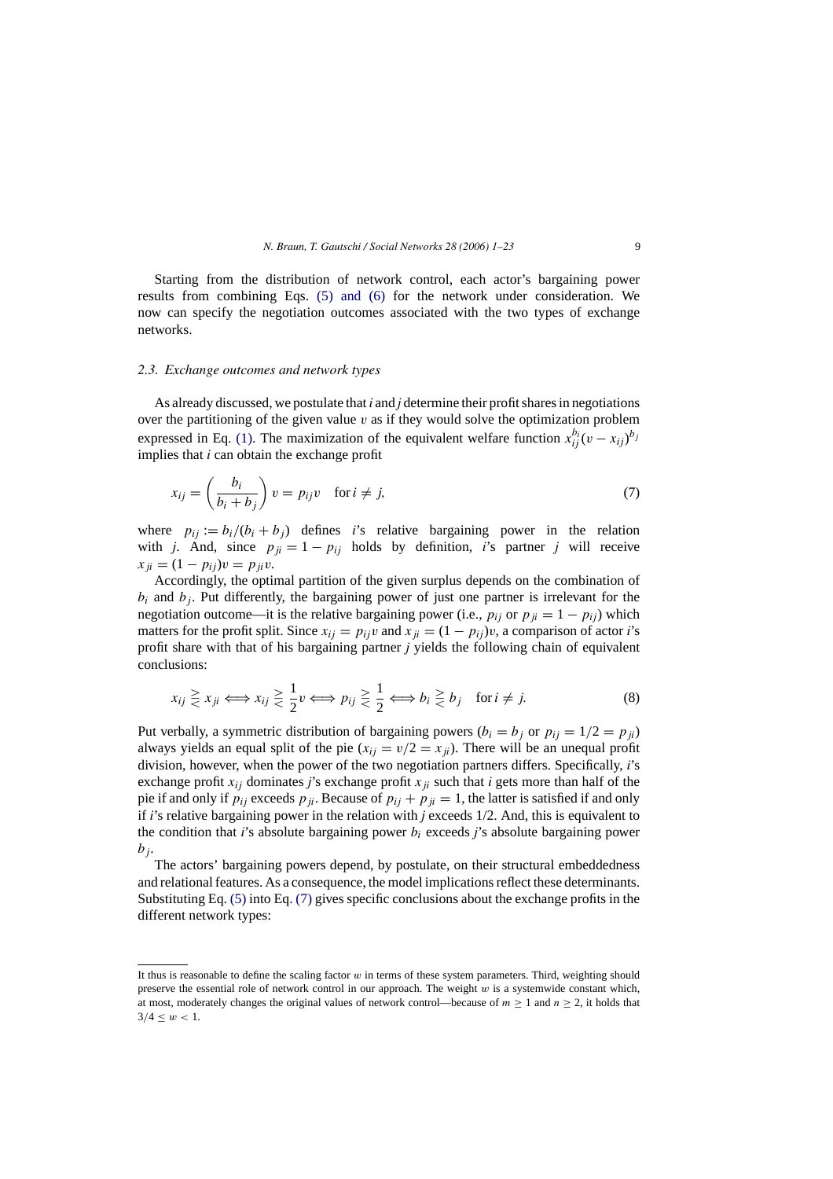Starting from the distribution of network control, each actor's bargaining power results from combining Eqs. [\(5\) and \(6\)](#page-7-0) for the network under consideration. We now can specify the negotiation outcomes associated with the two types of exchange networks.

#### *2.3. Exchange outcomes and network types*

As already discussed, we postulate that *i* and *j* determine their profit shares in negotiations over the partitioning of the given value  $v$  as if they would solve the optimization problem expressed in Eq. [\(1\).](#page-3-0) The maximization of the equivalent welfare function  $x_{ij}^{b_i}(v - x_{ij})^{b_j}$ implies that *i* can obtain the exchange profit

$$
x_{ij} = \left(\frac{b_i}{b_i + b_j}\right)v = p_{ij}v \quad \text{for } i \neq j,
$$
\n<sup>(7)</sup>

where  $p_{ij} := b_i/(b_i + b_j)$  defines *i*'s relative bargaining power in the relation with *j*. And, since  $p_{ij} = 1 - p_{ij}$  holds by definition, *i*'s partner *j* will receive  $x_{ii} = (1 - p_{ii})v = p_{ii}v.$ 

Accordingly, the optimal partition of the given surplus depends on the combination of  $b_i$  and  $b_j$ . Put differently, the bargaining power of just one partner is irrelevant for the negotiation outcome—it is the relative bargaining power (i.e.,  $p_{ij}$  or  $p_{ji} = 1 - p_{ij}$ ) which matters for the profit split. Since  $x_{ij} = p_{ij}v$  and  $x_{ji} = (1 - p_{ij})v$ , a comparison of actor *i*'s profit share with that of his bargaining partner *j* yields the following chain of equivalent conclusions:

$$
x_{ij} \ge x_{ji} \Longleftrightarrow x_{ij} \ge \frac{1}{2} \nu \Longleftrightarrow p_{ij} \ge \frac{1}{2} \Longleftrightarrow b_i \ge b_j \quad \text{for } i \ne j.
$$
 (8)

Put verbally, a symmetric distribution of bargaining powers  $(b_i = b_j$  or  $p_{ii} = 1/2 = p_{ii}$ ) always yields an equal split of the pie  $(x_{ij} = v/2 = x_{ji})$ . There will be an unequal profit division, however, when the power of the two negotiation partners differs. Specifically, *i*'s exchange profit  $x_{ij}$  dominates *j*'s exchange profit  $x_{ij}$  such that *i* gets more than half of the pie if and only if  $p_{ij}$  exceeds  $p_{ji}$ . Because of  $p_{ij} + p_{ji} = 1$ , the latter is satisfied if and only if *i*'s relative bargaining power in the relation with *j* exceeds 1/2. And, this is equivalent to the condition that *i*'s absolute bargaining power  $b_i$  exceeds *j*'s absolute bargaining power  $b_i$ .

The actors' bargaining powers depend, by postulate, on their structural embeddedness and relational features. As a consequence, the model implications reflect these determinants. Substituting Eq. [\(5\)](#page-7-0) into Eq. (7) gives specific conclusions about the exchange profits in the different network types:

It thus is reasonable to define the scaling factor  $w$  in terms of these system parameters. Third, weighting should preserve the essential role of network control in our approach. The weight  $w$  is a systemwide constant which, at most, moderately changes the original values of network control—because of  $m \ge 1$  and  $n \ge 2$ , it holds that  $3/4 \leq w < 1$ .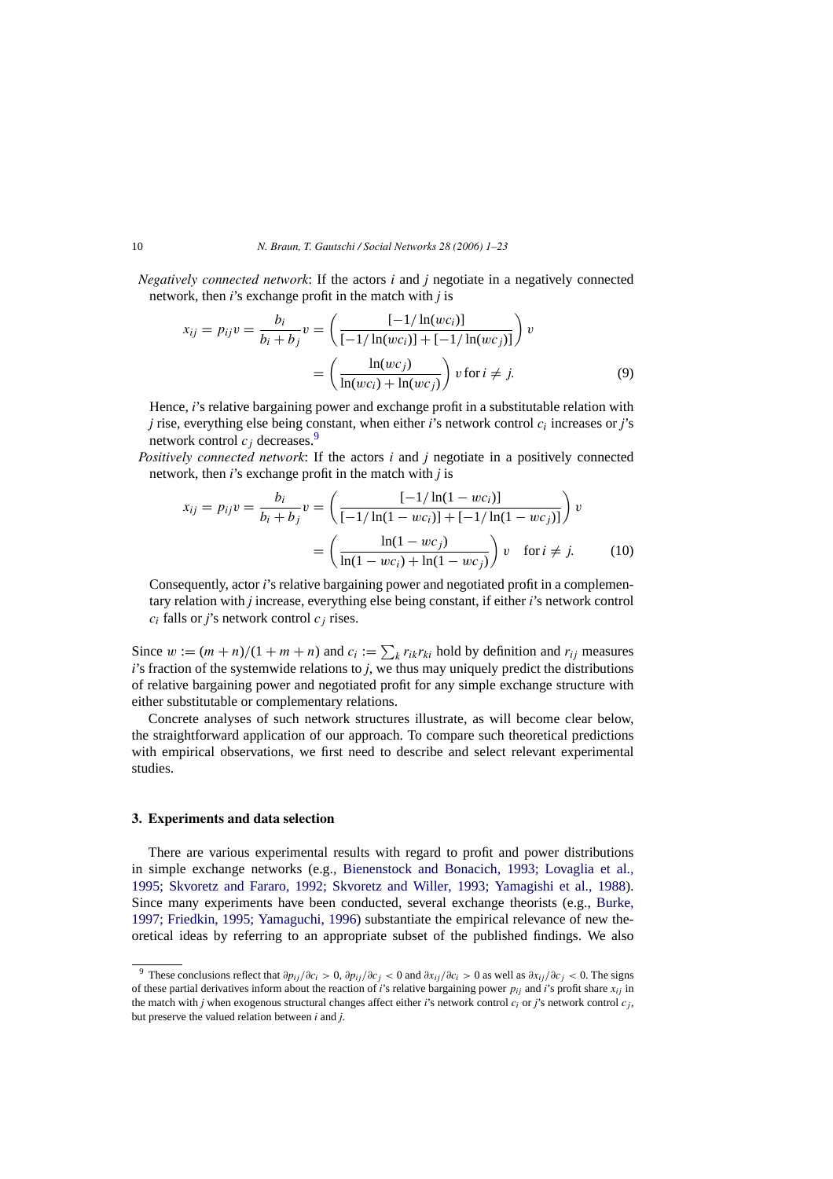*Negatively connected network*: If the actors *i* and *j* negotiate in a negatively connected network, then *i*'s exchange profit in the match with *j* is

$$
x_{ij} = p_{ij}v = \frac{b_i}{b_i + b_j}v = \left(\frac{[-1/\ln(wc_i)]}{[-1/\ln(wc_i)] + [-1/\ln(wc_j)]}\right)v
$$

$$
= \left(\frac{\ln(wc_j)}{\ln(wc_i) + \ln(wc_j)}\right)v \text{ for } i \neq j.
$$
(9)

Hence, *i*'s relative bargaining power and exchange profit in a substitutable relation with *j* rise, everything else being constant, when either *i*'s network control  $c_i$  increases or *j*'s network control  $c_i$  decreases.<sup>9</sup>

*Positively connected network*: If the actors *i* and *j* negotiate in a positively connected network, then *i*'s exchange profit in the match with *j* is

$$
x_{ij} = p_{ij}v = \frac{b_i}{b_i + b_j}v = \left(\frac{[-1/\ln(1 - wc_i)]}{[-1/\ln(1 - wc_i)] + [-1/\ln(1 - wc_j)]}\right)v
$$

$$
= \left(\frac{\ln(1 - wc_j)}{\ln(1 - wc_i) + \ln(1 - wc_j)}\right)v \quad \text{for } i \neq j. \tag{10}
$$

Consequently, actor *i*'s relative bargaining power and negotiated profit in a complementary relation with *j* increase, everything else being constant, if either *i*'s network control  $c_i$  falls or *j*'s network control  $c_j$  rises.

Since  $w := (m + n)/(1 + m + n)$  and  $c_i := \sum_k r_{ik}r_{ki}$  hold by definition and  $r_{ij}$  measures *i*'s fraction of the systemwide relations to *j*, we thus may uniquely predict the distributions of relative bargaining power and negotiated profit for any simple exchange structure with either substitutable or complementary relations.

Concrete analyses of such network structures illustrate, as will become clear below, the straightforward application of our approach. To compare such theoretical predictions with empirical observations, we first need to describe and select relevant experimental studies.

#### **3. Experiments and data selection**

There are various experimental results with regard to profit and power distributions in simple exchange networks (e.g., [Bienenstock and Bonacich, 1993; Lovaglia et al.,](#page-20-0) [1995; Skvoretz and Fararo, 1992; Skvoretz and Willer, 1993; Yamagishi et al., 1988\).](#page-20-0) Since many experiments have been conducted, several exchange theorists (e.g., [Burke,](#page-20-0) [1997; Friedkin, 1995; Yamaguchi, 1996\)](#page-20-0) substantiate the empirical relevance of new theoretical ideas by referring to an appropriate subset of the published findings. We also

<span id="page-9-0"></span>

<sup>&</sup>lt;sup>9</sup> These conclusions reflect that  $\partial p_{ij}/\partial c_i > 0$ ,  $\partial p_{ij}/\partial c_j < 0$  and  $\partial x_{ij}/\partial c_i > 0$  as well as  $\partial x_{ij}/\partial c_j < 0$ . The signs of these partial derivatives inform about the reaction of *i*'s relative bargaining power  $p_{ij}$  and *i*'s profit share  $x_{ij}$  in the match with *j* when exogenous structural changes affect either *i*'s network control  $c_i$  or *j*'s network control  $c_j$ , but preserve the valued relation between *i* and *j*.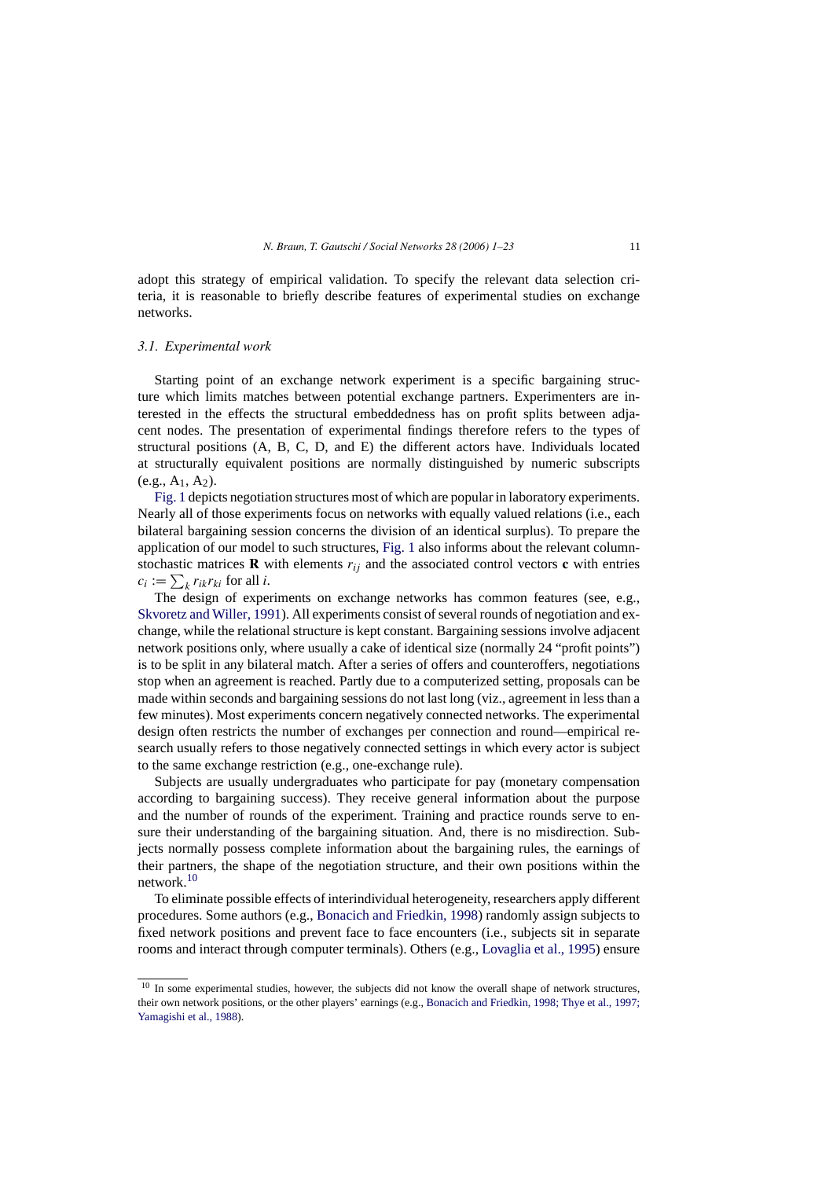adopt this strategy of empirical validation. To specify the relevant data selection criteria, it is reasonable to briefly describe features of experimental studies on exchange networks.

## *3.1. Experimental work*

Starting point of an exchange network experiment is a specific bargaining structure which limits matches between potential exchange partners. Experimenters are interested in the effects the structural embeddedness has on profit splits between adjacent nodes. The presentation of experimental findings therefore refers to the types of structural positions (A, B, C, D, and E) the different actors have. Individuals located at structurally equivalent positions are normally distinguished by numeric subscripts  $(e.g., A<sub>1</sub>, A<sub>2</sub>).$ 

[Fig. 1](#page-11-0) depicts negotiation structures most of which are popular in laboratory experiments. Nearly all of those experiments focus on networks with equally valued relations (i.e., each bilateral bargaining session concerns the division of an identical surplus). To prepare the application of our model to such structures, [Fig. 1](#page-11-0) also informs about the relevant columnstochastic matrices **R** with elements  $r_{ij}$  and the associated control vectors **c** with entries  $c_i := \sum_k r_{ik} r_{ki}$  for all *i*.

The design of experiments on exchange networks has common features (see, e.g., [Skvoretz and Willer, 1991\).](#page-21-0) All experiments consist of several rounds of negotiation and exchange, while the relational structure is kept constant. Bargaining sessions involve adjacent network positions only, where usually a cake of identical size (normally 24 "profit points") is to be split in any bilateral match. After a series of offers and counteroffers, negotiations stop when an agreement is reached. Partly due to a computerized setting, proposals can be made within seconds and bargaining sessions do not last long (viz., agreement in less than a few minutes). Most experiments concern negatively connected networks. The experimental design often restricts the number of exchanges per connection and round—empirical research usually refers to those negatively connected settings in which every actor is subject to the same exchange restriction (e.g., one-exchange rule).

Subjects are usually undergraduates who participate for pay (monetary compensation according to bargaining success). They receive general information about the purpose and the number of rounds of the experiment. Training and practice rounds serve to ensure their understanding of the bargaining situation. And, there is no misdirection. Subjects normally possess complete information about the bargaining rules, the earnings of their partners, the shape of the negotiation structure, and their own positions within the network.10

To eliminate possible effects of interindividual heterogeneity, researchers apply different procedures. Some authors (e.g., [Bonacich and Friedkin, 1998\)](#page-20-0) randomly assign subjects to fixed network positions and prevent face to face encounters (i.e., subjects sit in separate rooms and interact through computer terminals). Others (e.g., [Lovaglia et al., 1995\)](#page-21-0) ensure

<sup>&</sup>lt;sup>10</sup> In some experimental studies, however, the subjects did not know the overall shape of network structures, their own network positions, or the other players' earnings (e.g., [Bonacich and Friedkin, 1998; Thye et al., 1997;](#page-20-0) [Yamagishi et al., 1988\).](#page-20-0)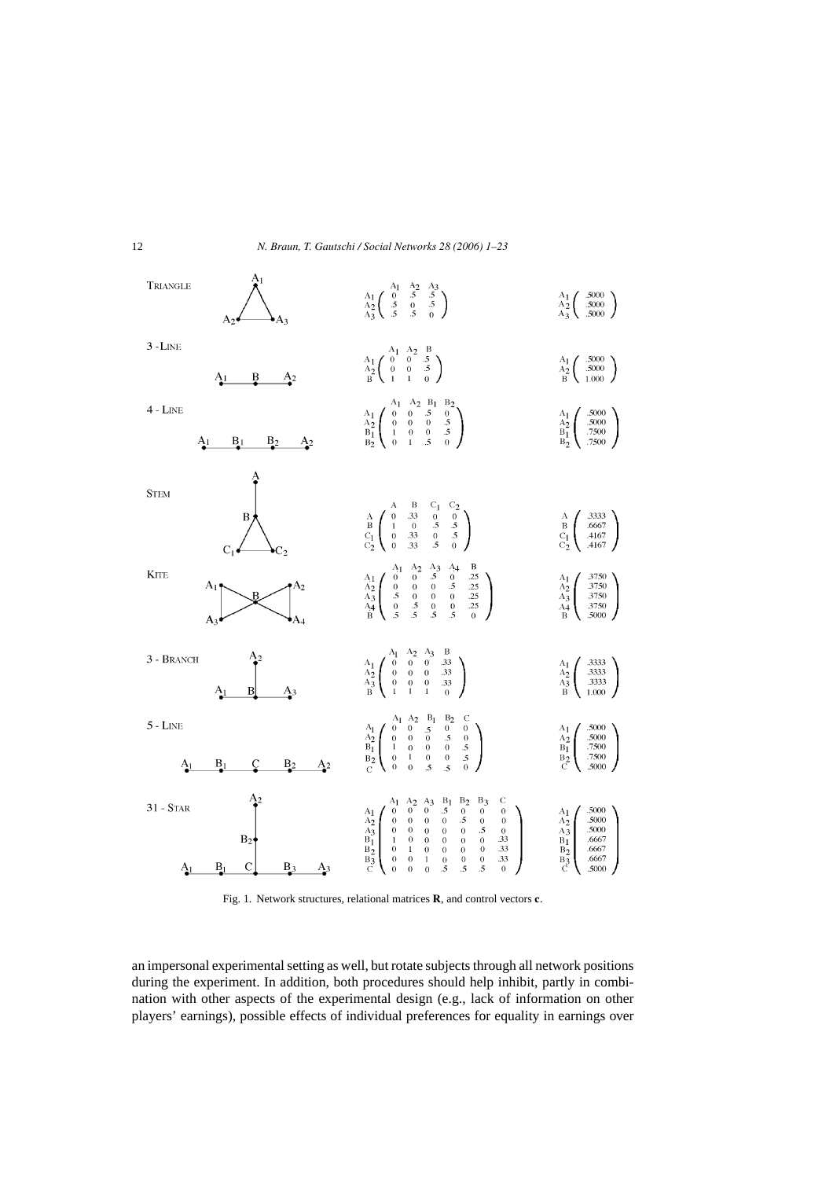<span id="page-11-0"></span>

Fig. 1. Network structures, relational matrices **R**, and control vectors **c**.

an impersonal experimental setting as well, but rotate subjects through all network positions during the experiment. In addition, both procedures should help inhibit, partly in combination with other aspects of the experimental design (e.g., lack of information on other players' earnings), possible effects of individual preferences for equality in earnings over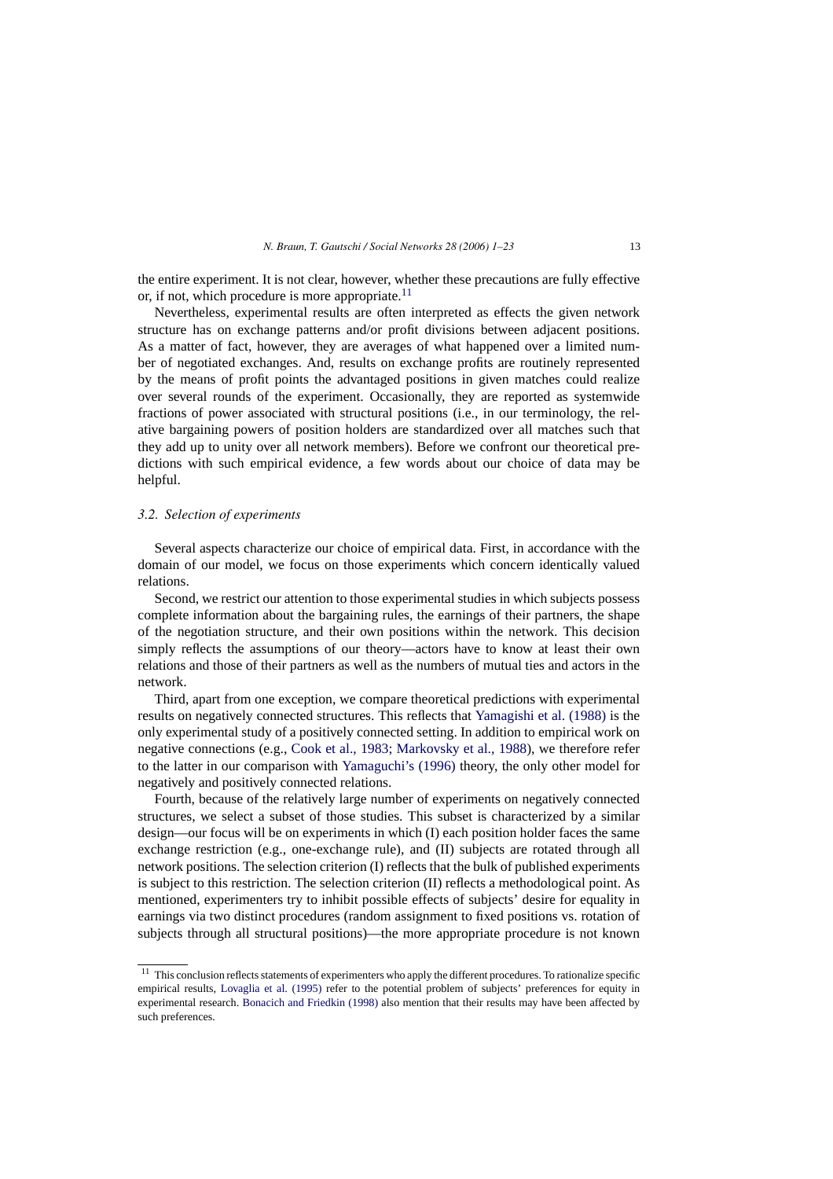the entire experiment. It is not clear, however, whether these precautions are fully effective or, if not, which procedure is more appropriate. $^{11}$ 

Nevertheless, experimental results are often interpreted as effects the given network structure has on exchange patterns and/or profit divisions between adjacent positions. As a matter of fact, however, they are averages of what happened over a limited number of negotiated exchanges. And, results on exchange profits are routinely represented by the means of profit points the advantaged positions in given matches could realize over several rounds of the experiment. Occasionally, they are reported as systemwide fractions of power associated with structural positions (i.e., in our terminology, the relative bargaining powers of position holders are standardized over all matches such that they add up to unity over all network members). Before we confront our theoretical predictions with such empirical evidence, a few words about our choice of data may be helpful.

#### *3.2. Selection of experiments*

Several aspects characterize our choice of empirical data. First, in accordance with the domain of our model, we focus on those experiments which concern identically valued relations.

Second, we restrict our attention to those experimental studies in which subjects possess complete information about the bargaining rules, the earnings of their partners, the shape of the negotiation structure, and their own positions within the network. This decision simply reflects the assumptions of our theory—actors have to know at least their own relations and those of their partners as well as the numbers of mutual ties and actors in the network.

Third, apart from one exception, we compare theoretical predictions with experimental results on negatively connected structures. This reflects that [Yamagishi et al. \(1988\)](#page-21-0) is the only experimental study of a positively connected setting. In addition to empirical work on negative connections (e.g., [Cook et al., 1983; Markovsky et al., 1988\),](#page-20-0) we therefore refer to the latter in our comparison with [Yamaguchi's \(1996\)](#page-21-0) theory, the only other model for negatively and positively connected relations.

Fourth, because of the relatively large number of experiments on negatively connected structures, we select a subset of those studies. This subset is characterized by a similar design—our focus will be on experiments in which (I) each position holder faces the same exchange restriction (e.g., one-exchange rule), and (II) subjects are rotated through all network positions. The selection criterion (I) reflects that the bulk of published experiments is subject to this restriction. The selection criterion (II) reflects a methodological point. As mentioned, experimenters try to inhibit possible effects of subjects' desire for equality in earnings via two distinct procedures (random assignment to fixed positions vs. rotation of subjects through all structural positions)—the more appropriate procedure is not known

<sup>&</sup>lt;sup>11</sup> This conclusion reflects statements of experimenters who apply the different procedures. To rationalize specific empirical results, [Lovaglia et al.](#page-21-0) [\(1995\)](#page-21-0) refer to the potential problem of subjects' preferences for equity in experimental research. [Bonacich and Friedkin \(1998\)](#page-20-0) [a](#page-20-0)lso mention that their results may have been affected by such preferences.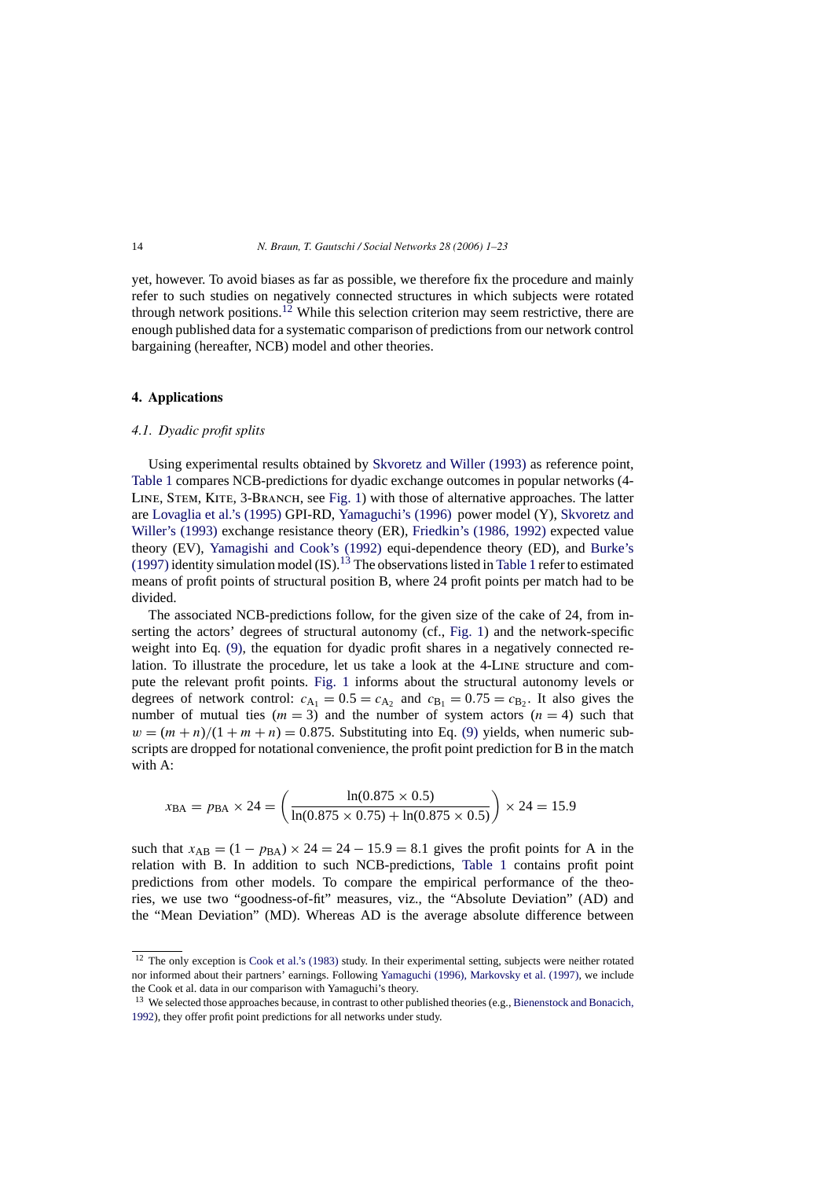yet, however. To avoid biases as far as possible, we therefore fix the procedure and mainly refer to such studies on negatively connected structures in which subjects were rotated through network positions.<sup>12</sup> While this selection criterion may seem restrictive, there are enough published data for a systematic comparison of predictions from our network control bargaining (hereafter, NCB) model and other theories.

# **4. Applications**

### *4.1. Dyadic profit splits*

Using experimental results obtained by [Skvoretz and Willer \(1993\)](#page-21-0) as reference point, [Table 1](#page-14-0) compares NCB-predictions for dyadic exchange outcomes in popular networks (4- Line, Stem, Kite, 3-Branch, see [Fig. 1\)](#page-11-0) with those of alternative approaches. The latter are [Lovaglia et al.'s \(1995\)](#page-21-0) GPI-RD, [Yamaguchi's \(1996\)](#page-21-0) power model (Y), [Skvoretz and](#page-21-0) Willer's (1993) exchange resistance theory (ER), [Friedkin's \(1986, 1992\)](#page-20-0) expected value theory (EV), [Yamagishi and Cook's \(1992\)](#page-21-0) equi-dependence theory (ED), and [Burke's](#page-20-0) (1997) identity simulation model (IS).<sup>13</sup> The observations listed in [Table 1](#page-14-0) refer to estimated means of profit points of structural position B, where 24 profit points per match had to be divided.

The associated NCB-predictions follow, for the given size of the cake of 24, from inserting the actors' degrees of structural autonomy (cf., [Fig. 1\)](#page-11-0) and the network-specific weight into Eq. [\(9\),](#page-9-0) the equation for dyadic profit shares in a negatively connected relation. To illustrate the procedure, let us take a look at the 4-Line structure and compute the relevant profit points. [Fig. 1](#page-11-0) informs about the structural autonomy levels or degrees of network control:  $c_{A1} = 0.5 = c_{A2}$  and  $c_{B1} = 0.75 = c_{B2}$ . It also gives the number of mutual ties ( $m = 3$ ) and the number of system actors ( $n = 4$ ) such that  $w = (m+n)/(1+m+n) = 0.875$ . Substituting into Eq. [\(9\)](#page-9-0) yields, when numeric subscripts are dropped for notational convenience, the profit point prediction for B in the match with A:

$$
x_{\text{BA}} = p_{\text{BA}} \times 24 = \left(\frac{\ln(0.875 \times 0.5)}{\ln(0.875 \times 0.75) + \ln(0.875 \times 0.5)}\right) \times 24 = 15.9
$$

such that  $x_{AB} = (1 - p_{BA}) \times 24 = 24 - 15.9 = 8.1$  gives the profit points for A in the relation with B. In addition to such NCB-predictions, [Table 1](#page-14-0) contains profit point predictions from other models. To compare the empirical performance of the theories, we use two "goodness-of-fit" measures, viz., the "Absolute Deviation" (AD) and the "Mean Deviation" (MD). Whereas AD is the average absolute difference between

<sup>&</sup>lt;sup>12</sup> The only exception is [Cook et al.'s \(1983\)](#page-20-0) study. In their experimental setting, subjects were neither rotated nor informed about their partners' earnings. Following [Yamaguchi \(1996\), Markovsky et al. \(1997\), w](#page-21-0)e include the Cook et al. data in our comparison with Yamaguchi's theory.

<sup>&</sup>lt;sup>13</sup> We selected those approaches because, in contrast to other published theories (e.g., [Bienenstock and Bonacich,](#page-20-0) [1992\),](#page-20-0) they offer profit point predictions for all networks under study.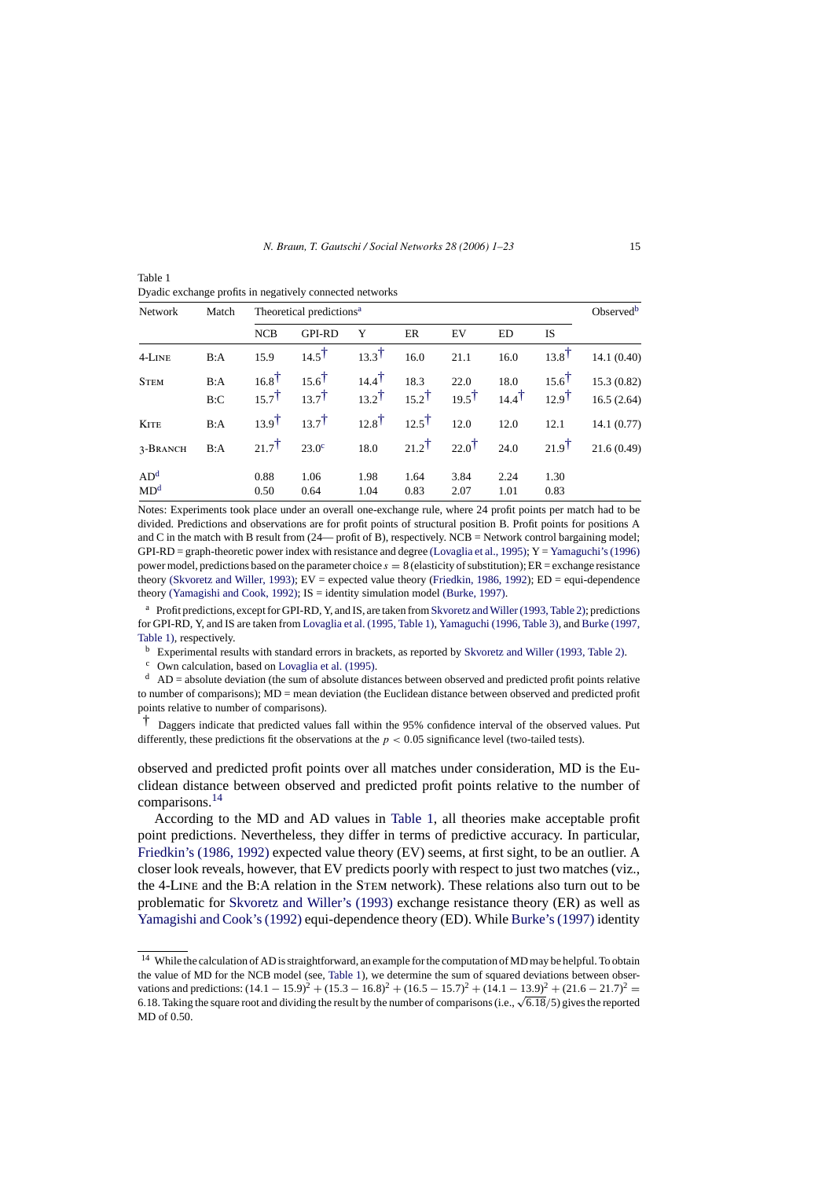| <b>Network</b>                     | Match      | Theoretical predictions <sup>a</sup> |                                      |                                      |                          |                          |                          |                                      | Observed <sup>b</sup>     |
|------------------------------------|------------|--------------------------------------|--------------------------------------|--------------------------------------|--------------------------|--------------------------|--------------------------|--------------------------------------|---------------------------|
|                                    |            | <b>NCB</b>                           | <b>GPI-RD</b>                        | Y                                    | ER                       | EV                       | <b>ED</b>                | <b>IS</b>                            |                           |
| 4-LINE                             | B:A        | 15.9                                 | $14.5^{\dagger}$                     | $13.3^{\dagger}$                     | 16.0                     | 21.1                     | 16.0                     | $13.8^{\dagger}$                     | 14.1 (0.40)               |
| <b>STEM</b>                        | B:A<br>B:C | $16.8^{\dagger}$<br>$15.7^{\dagger}$ | $15.6^{\dagger}$<br>$13.7^{\dagger}$ | $14.4^{\dagger}$<br>$13.2^{\dagger}$ | 18.3<br>$15.2^{\dagger}$ | 22.0<br>$19.5^{\dagger}$ | 18.0<br>$14.4^{\dagger}$ | $15.6^{\dagger}$<br>$12.9^{\dagger}$ | 15.3 (0.82)<br>16.5(2.64) |
| <b>KITE</b>                        | B:A        | $13.9^{\dagger}$                     | $13.7^{\dagger}$                     | $12.8^{\dagger}$                     | $12.5^{\dagger}$         | 12.0                     | 12.0                     | 12.1                                 | 14.1(0.77)                |
| 3-BRANCH                           | B:A        | $21.7^{\dagger}$                     | 23.0 <sup>c</sup>                    | 18.0                                 | $21.2^{\dagger}$         | $22.0^{\dagger}$         | 24.0                     | $21.9^{\dagger}$                     | 21.6(0.49)                |
| AD <sup>d</sup><br>MD <sup>d</sup> |            | 0.88<br>0.50                         | 1.06<br>0.64                         | 1.98<br>1.04                         | 1.64<br>0.83             | 3.84<br>2.07             | 2.24<br>1.01             | 1.30<br>0.83                         |                           |

<span id="page-14-0"></span>Table 1 Dyadic exchange profits in negatively connected networks

Notes: Experiments took place under an overall one-exchange rule, where 24 profit points per match had to be divided. Predictions and observations are for profit points of structural position B. Profit points for positions A and C in the match with B result from (24— profit of B), respectively. NCB = Network control bargaining model; GPI-RD = graph-theoretic power index with resistance and degree (Lovaglia et al., 1995);  $Y =$  [Yamaguchi's \(1996\)](#page-21-0) power model, predictions based on the parameter choice  $s = 8$  (elasticity of substitution); ER = exchange resistance theory [\(Skvoretz and Willer, 1993\); E](#page-21-0)V = expected value theory [\(Friedkin, 1986, 1992\);](#page-20-0) ED = equi-dependence theory [\(Yamagishi and Cook, 1992\); I](#page-21-0)S = identity simulation model [\(Burke, 1997\).](#page-20-0)

<sup>a</sup> Profit predictions, except for GPI-RD, Y, and IS, are taken from [Skvoretz and Willer \(1993, Table 2\); pr](#page-21-0)edictions for GPI-RD, Y, and IS are taken from [Lovaglia et al. \(1995, Table 1\),](#page-21-0) [Yamaguchi \(1996, Table 3\), a](#page-21-0)nd [Burke \(1997,](#page-20-0) Table 1), respectively.

<sup>b</sup> Experimental results with standard errors in brackets, as reported by [Skvoretz and Willer \(1993, Table 2\).](#page-21-0)

<sup>c</sup> Own calculation, based on [Lovaglia et al. \(1995\).](#page-21-0)

 $d$  AD = absolute deviation (the sum of absolute distances between observed and predicted profit points relative to number of comparisons); MD = mean deviation (the Euclidean distance between observed and predicted profit points relative to number of comparisons).

† Daggers indicate that predicted values fall within the 95% confidence interval of the observed values. Put differently, these predictions fit the observations at the  $p < 0.05$  significance level (two-tailed tests).

observed and predicted profit points over all matches under consideration, MD is the Euclidean distance between observed and predicted profit points relative to the number of comparisons.<sup>14</sup>

According to the MD and AD values in Table 1, all theories make acceptable profit point predictions. Nevertheless, they differ in terms of predictive accuracy. In particular, [Friedkin's \(1986, 1992\)](#page-20-0) expected value theory (EV) seems, at first sight, to be an outlier. A closer look reveals, however, that EV predicts poorly with respect to just two matches (viz., the 4-Line and the B:A relation in the Stem network). These relations also turn out to be problematic for [Skvoretz and Willer's \(1993\)](#page-21-0) exchange resistance theory (ER) as well as [Yamagishi and Cook's \(1992\)](#page-21-0) equi-dependence theory (ED). While [Burke's \(1997\)](#page-20-0) identity

<sup>&</sup>lt;sup>14</sup> While the calculation of AD is straightforward, an example for the computation of MD may be helpful. To obtain the value of MD for the NCB model (see, Table 1), we determine the sum of squared deviations between observations and predictions:  $(14.1 - 15.9)^2 + (15.3 - 16.8)^2 + (16.5 - 15.7)^2 + (14.1 - 13.9)^2 + (21.6 - 21.7)^2 =$ 6.18. Taking the square root and dividing the result by the number of comparisons (i.e.,  $\sqrt{6.18}/5$ ) gives the reported MD of 0.50.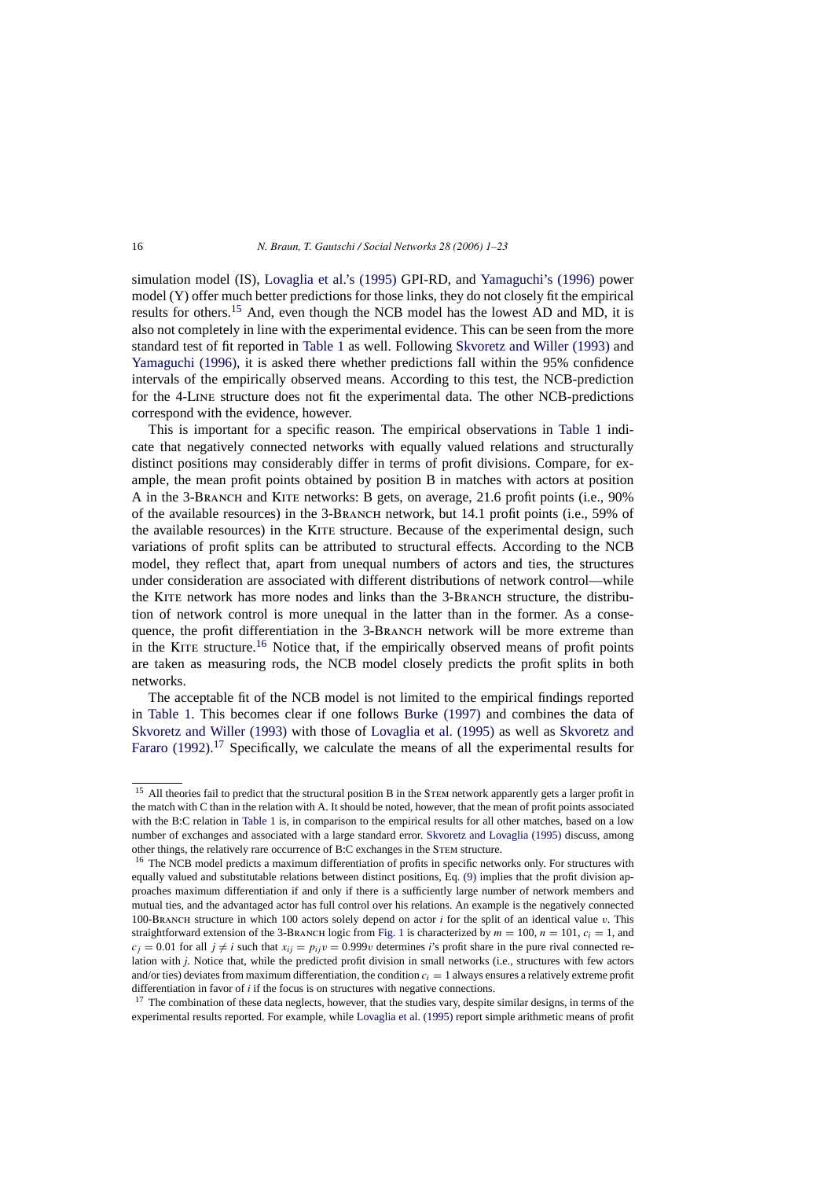simulation model (IS), [Lovaglia et al.'s \(1995\)](#page-21-0) GPI-RD, and [Yamaguchi's \(1996\)](#page-21-0) power model (Y) offer much better predictions for those links, they do not closely fit the empirical results for others.15 And, even though the NCB model has the lowest AD and MD, it is also not completely in line with the experimental evidence. This can be seen from the more standard test of fit reported in [Table 1](#page-14-0) as well. Following [Skvoretz and Willer \(1993\)](#page-21-0) and [Yamaguchi \(1996\),](#page-21-0) it is asked there whether predictions fall within the 95% confidence intervals of the empirically observed means. According to this test, the NCB-prediction for the 4-Line structure does not fit the experimental data. The other NCB-predictions correspond with the evidence, however.

This is important for a specific reason. The empirical observations in [Table 1](#page-14-0) indicate that negatively connected networks with equally valued relations and structurally distinct positions may considerably differ in terms of profit divisions. Compare, for example, the mean profit points obtained by position B in matches with actors at position A in the 3-Branch and Kite networks: B gets, on average, 21.6 profit points (i.e., 90% of the available resources) in the 3-BRANCH network, but 14.1 profit points (i.e., 59% of the available resources) in the KITE structure. Because of the experimental design, such variations of profit splits can be attributed to structural effects. According to the NCB model, they reflect that, apart from unequal numbers of actors and ties, the structures under consideration are associated with different distributions of network control—while the KITE network has more nodes and links than the 3-BRANCH structure, the distribution of network control is more unequal in the latter than in the former. As a consequence, the profit differentiation in the 3-BRANCH network will be more extreme than in the KITE structure.<sup>16</sup> Notice that, if the empirically observed means of profit points are taken as measuring rods, the NCB model closely predicts the profit splits in both networks.

The acceptable fit of the NCB model is not limited to the empirical findings reported in [Table 1.](#page-14-0) This becomes clear if one follows [Burke \(1997\)](#page-20-0) and combines the data of [Skvoretz and Willer \(1993\)](#page-21-0) with those of [Lovaglia et al. \(1995\)](#page-21-0) as well as [Skvoretz and](#page-21-0) Fararo [\(1992\).](#page-21-0)<sup>17</sup> Specifically, we calculate the means of all the experimental results for

 $15$  All theories fail to predict that the structural position B in the STEM network apparently gets a larger profit in the match with C than in the relation with A. It should be noted, however, that the mean of profit points associated with the B:C relation in [Table 1](#page-14-0) is, in comparison to the empirical results for all other matches, based on a low number of exchanges and associated with a large standard error. [Skvoretz and Lovaglia \(1995\)](#page-21-0) discuss, among other things, the relatively rare occurrence of B:C exchanges in the Stem structure.

<sup>&</sup>lt;sup>16</sup> The NCB model predicts a maximum differentiation of profits in specific networks only. For structures with equally valued and substitutable relations between distinct positions, Eq. [\(9\)](#page-9-0) implies that the profit division approaches maximum differentiation if and only if there is a sufficiently large number of network members and mutual ties, and the advantaged actor has full control over his relations. An example is the negatively connected 100-Branch structure in which 100 actors solely depend on actor *i* for the split of an identical value v. This straightforward extension of the 3-BRANCH logic from [Fig. 1](#page-11-0) is characterized by  $m = 100$ ,  $n = 101$ ,  $c_i = 1$ , and  $c_j = 0.01$  for all  $j \neq i$  such that  $x_{ij} = p_{ij}v = 0.999v$  determines *i*'s profit share in the pure rival connected relation with *j*. Notice that, while the predicted profit division in small networks (i.e., structures with few actors and/or ties) deviates from maximum differentiation, the condition  $c_i = 1$  always ensures a relatively extreme profit differentiation in favor of *i* if the focus is on structures with negative connections.

<sup>&</sup>lt;sup>17</sup> The combination of these data neglects, however, that the studies vary, despite similar designs, in terms of the experimental results reported. For example, while [Lovaglia et al. \(1995\)](#page-21-0) [re](#page-21-0)port simple arithmetic means of profit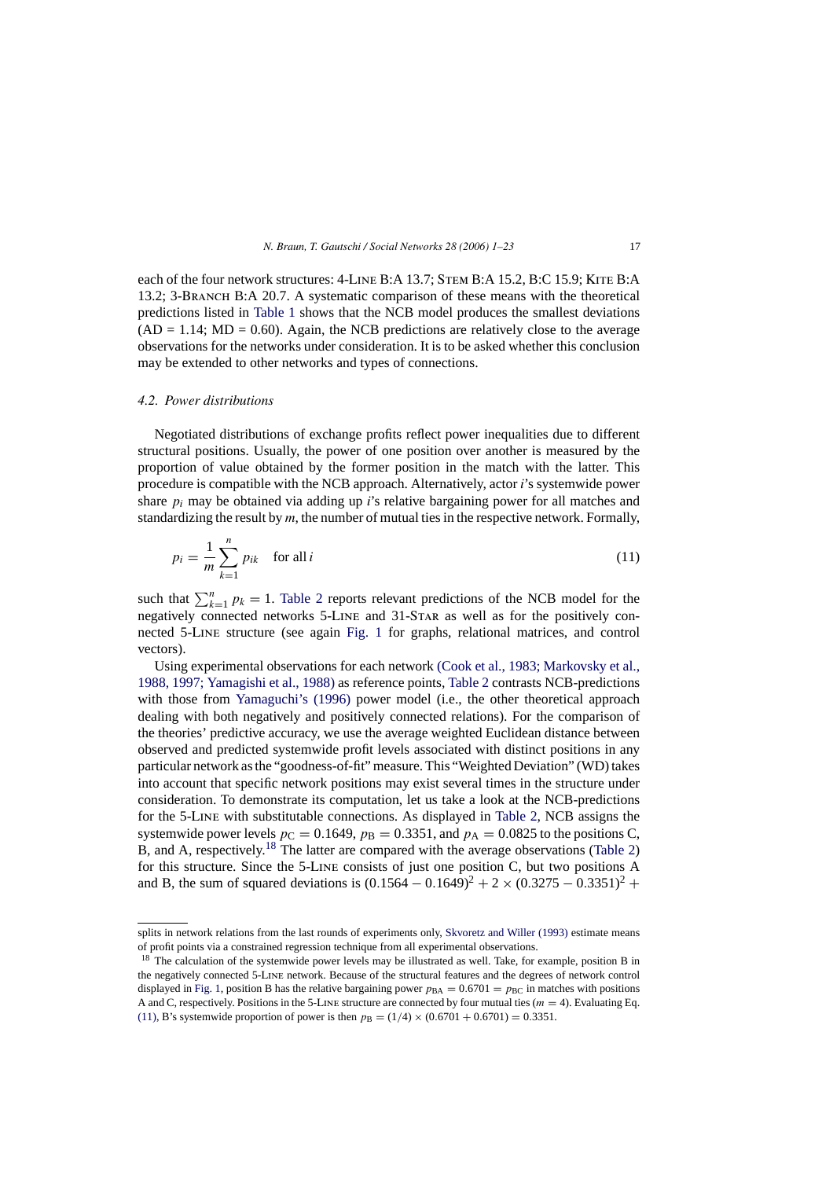<span id="page-16-0"></span>each of the four network structures: 4-LINE B:A 13.7; STEM B:A 15.2, B:C 15.9; KITE B:A 13.2; 3-Branch B:A 20.7. A systematic comparison of these means with the theoretical predictions listed in [Table 1](#page-14-0) shows that the NCB model produces the smallest deviations  $(AD = 1.14; MD = 0.60)$ . Again, the NCB predictions are relatively close to the average observations for the networks under consideration. It is to be asked whether this conclusion may be extended to other networks and types of connections.

## *4.2. Power distributions*

Negotiated distributions of exchange profits reflect power inequalities due to different structural positions. Usually, the power of one position over another is measured by the proportion of value obtained by the former position in the match with the latter. This procedure is compatible with the NCB approach. Alternatively, actor *i*'s systemwide power share  $p_i$  may be obtained via adding up *i*'s relative bargaining power for all matches and standardizing the result by *m*, the number of mutual ties in the respective network. Formally,

$$
p_i = \frac{1}{m} \sum_{k=1}^{n} p_{ik} \quad \text{for all } i
$$
 (11)

such that  $\sum_{k=1}^{n} p_k = 1$ . [Table 2](#page-17-0) reports relevant predictions of the NCB model for the negatively connected networks 5-Line and 31-Star as well as for the positively connected 5-Line structure (see again [Fig. 1](#page-11-0) for graphs, relational matrices, and control vectors).

Using experimental observations for each network [\(Cook et al., 1983; Markovsky et al.,](#page-20-0) [1988, 1997; Yamagishi et al., 1988\)](#page-20-0) as reference points, [Table 2](#page-17-0) contrasts NCB-predictions with those from [Yamaguchi's \(1996\)](#page-21-0) power model (i.e., the other theoretical approach dealing with both negatively and positively connected relations). For the comparison of the theories' predictive accuracy, we use the average weighted Euclidean distance between observed and predicted systemwide profit levels associated with distinct positions in any particular network as the "goodness-of-fit" measure. This "Weighted Deviation" (WD) takes into account that specific network positions may exist several times in the structure under consideration. To demonstrate its computation, let us take a look at the NCB-predictions for the 5-Line with substitutable connections. As displayed in [Table 2,](#page-17-0) NCB assigns the systemwide power levels  $p_C = 0.1649$ ,  $p_B = 0.3351$ , and  $p_A = 0.0825$  to the positions C, B, and A, respectively.<sup>18</sup> The latter are compared with the average observations [\(Table 2\)](#page-17-0) for this structure. Since the 5-Line consists of just one position C, but two positions A and B, the sum of squared deviations is  $(0.1564 - 0.1649)^2 + 2 \times (0.3275 - 0.3351)^2 +$ 

splits in network relations from the last rounds of experiments only, [Skvoretz and Willer \(1993\)](#page-21-0) [e](#page-21-0)stimate means of profit points via a constrained regression technique from all experimental observations.

<sup>&</sup>lt;sup>18</sup> The calculation of the systemwide power levels may be illustrated as well. Take, for example, position B in the negatively connected 5-Line network. Because of the structural features and the degrees of network control displayed in [Fig. 1, p](#page-11-0)osition B has the relative bargaining power  $p_{BA} = 0.6701 = p_{BC}$  in matches with positions A and C, respectively. Positions in the 5-LINE structure are connected by four mutual ties  $(m = 4)$ . Evaluating Eq. (11), B's systemwide proportion of power is then  $p_B = (1/4) \times (0.6701 + 0.6701) = 0.3351$ .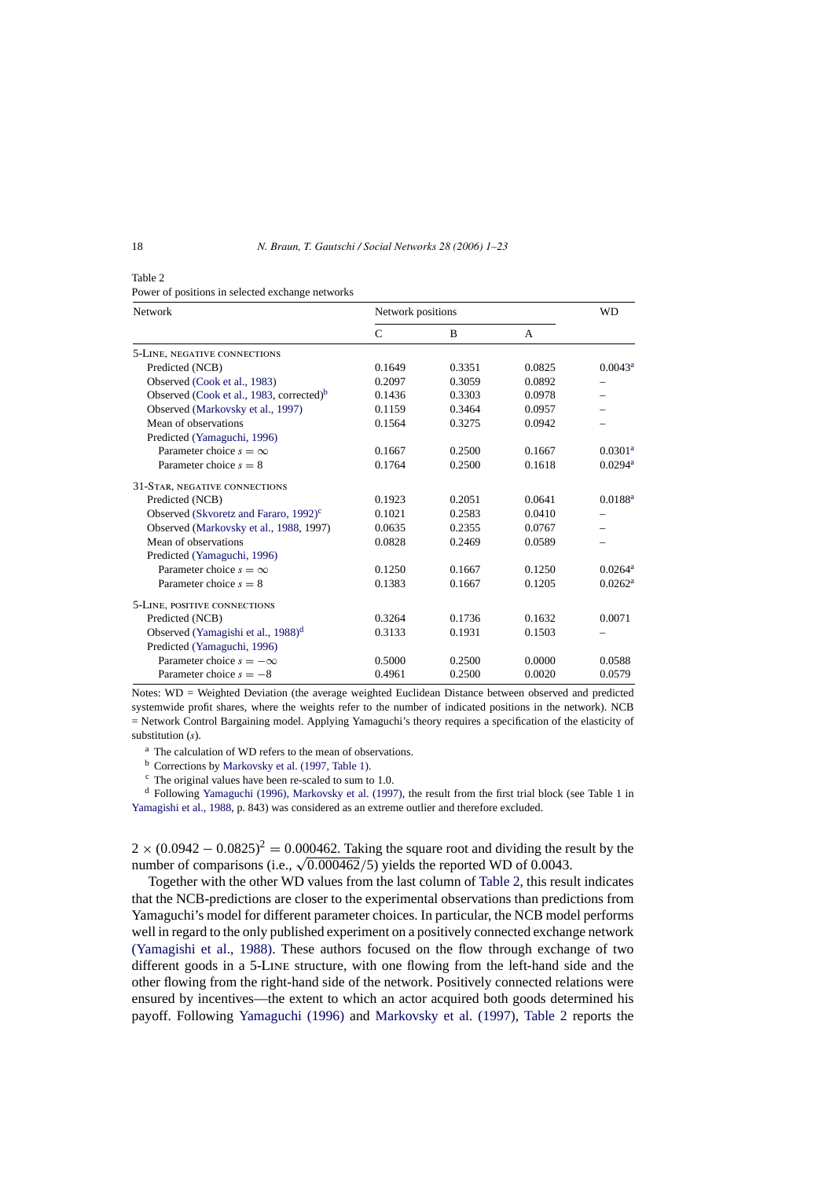<span id="page-17-0"></span>

Power of positions in selected exchange networks

| Network                                           | Network positions |        |        |                     |  |
|---------------------------------------------------|-------------------|--------|--------|---------------------|--|
|                                                   | C                 | B      | A      |                     |  |
| 5-LINE, NEGATIVE CONNECTIONS                      |                   |        |        |                     |  |
| Predicted (NCB)                                   | 0.1649            | 0.3351 | 0.0825 | $0.0043^a$          |  |
| Observed (Cook et al., 1983)                      | 0.2097            | 0.3059 | 0.0892 |                     |  |
| Observed (Cook et al., 1983, corrected) $b$       | 0.1436            | 0.3303 | 0.0978 |                     |  |
| Observed (Markovsky et al., 1997)                 | 0.1159            | 0.3464 | 0.0957 |                     |  |
| Mean of observations                              | 0.1564            | 0.3275 | 0.0942 |                     |  |
| Predicted (Yamaguchi, 1996)                       |                   |        |        |                     |  |
| Parameter choice $s = \infty$                     | 0.1667            | 0.2500 | 0.1667 | 0.0301 <sup>a</sup> |  |
| Parameter choice $s = 8$                          | 0.1764            | 0.2500 | 0.1618 | 0.0294a             |  |
| 31-STAR, NEGATIVE CONNECTIONS                     |                   |        |        |                     |  |
| Predicted (NCB)                                   | 0.1923            | 0.2051 | 0.0641 | $0.0188^{a}$        |  |
| Observed (Skvoretz and Fararo, 1992) <sup>c</sup> | 0.1021            | 0.2583 | 0.0410 |                     |  |
| Observed (Markovsky et al., 1988, 1997)           | 0.0635            | 0.2355 | 0.0767 |                     |  |
| Mean of observations                              | 0.0828            | 0.2469 | 0.0589 |                     |  |
| Predicted (Yamaguchi, 1996)                       |                   |        |        |                     |  |
| Parameter choice $s = \infty$                     | 0.1250            | 0.1667 | 0.1250 | $0.0264^a$          |  |
| Parameter choice $s = 8$                          | 0.1383            | 0.1667 | 0.1205 | $0.0262^a$          |  |
| 5-LINE, POSITIVE CONNECTIONS                      |                   |        |        |                     |  |
| Predicted (NCB)                                   | 0.3264            | 0.1736 | 0.1632 | 0.0071              |  |
| Observed (Yamagishi et al., 1988) <sup>d</sup>    | 0.3133            | 0.1931 | 0.1503 |                     |  |
| Predicted (Yamaguchi, 1996)                       |                   |        |        |                     |  |
| Parameter choice $s = -\infty$                    | 0.5000            | 0.2500 | 0.0000 | 0.0588              |  |
| Parameter choice $s = -8$                         | 0.4961            | 0.2500 | 0.0020 | 0.0579              |  |

Notes: WD = Weighted Deviation (the average weighted Euclidean Distance between observed and predicted systemwide profit shares, where the weights refer to the number of indicated positions in the network). NCB = Network Control Bargaining model. Applying Yamaguchi's theory requires a specification of the elasticity of substitution (*s*).

<sup>a</sup> The calculation of WD refers to the mean of observations.

<sup>b</sup> Corrections by [Markovsky et al. \(1997, Table 1\).](#page-21-0)

 $\degree$  The original values have been re-scaled to sum to 1.0.

<sup>d</sup> Following [Yamaguchi \(1996\), Markovsky et al. \(1997\), t](#page-21-0)he result from the first trial block (see Table 1 in [Yamagishi et al., 1988, p](#page-21-0). 843) was considered as an extreme outlier and therefore excluded.

 $2 \times (0.0942 - 0.0825)^2 = 0.000462$ . Taking the square root and dividing the result by the number of comparisons (i.e.,  $\sqrt{0.000462}/5$ ) yields the reported WD of 0.0043.

Together with the other WD values from the last column of Table 2, this result indicates that the NCB-predictions are closer to the experimental observations than predictions from Yamaguchi's model for different parameter choices. In particular, the NCB model performs well in regard to the only published experiment on a positively connected exchange network [\(Yamagishi et al., 1988\).](#page-21-0) These authors focused on the flow through exchange of two different goods in a 5-Line structure, with one flowing from the left-hand side and the other flowing from the right-hand side of the network. Positively connected relations were ensured by incentives—the extent to which an actor acquired both goods determined his payoff. Following [Yamaguchi \(1996\)](#page-21-0) and [Markovsky et al.](#page-21-0) [\(1997\),](#page-21-0) Table 2 reports the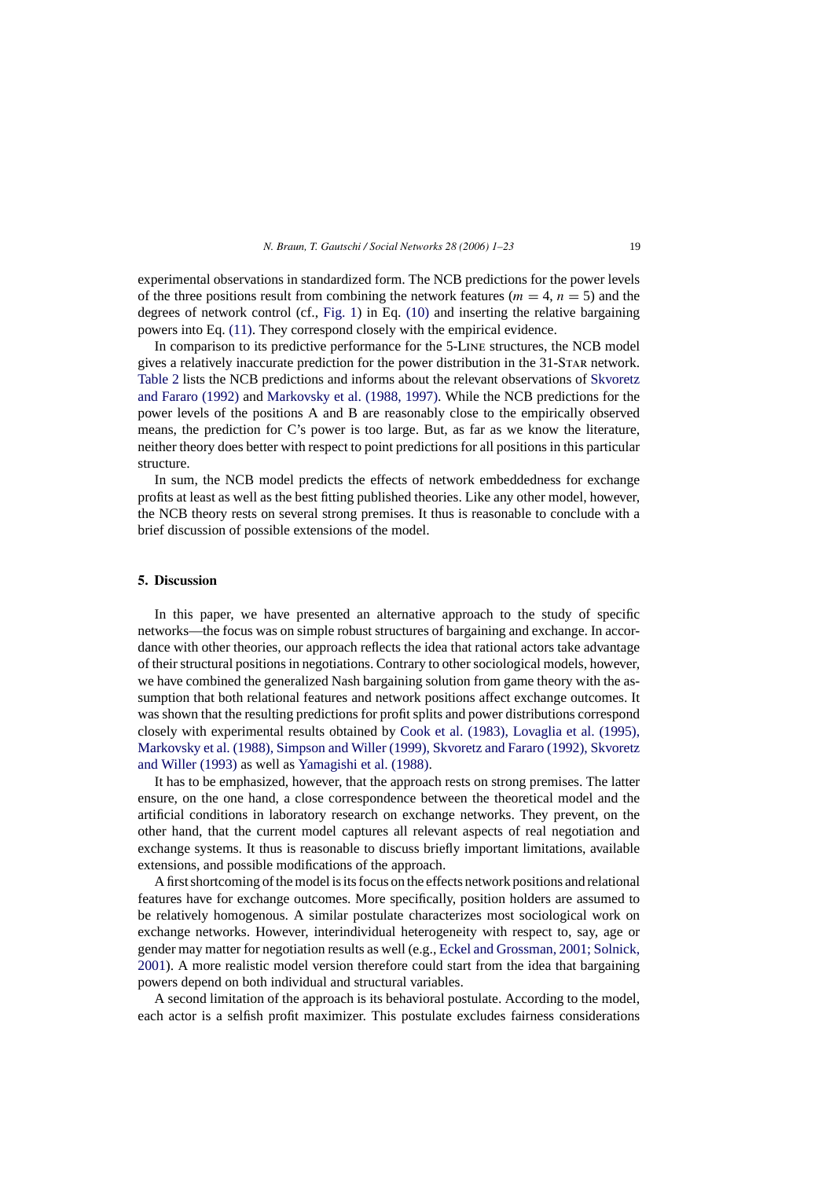experimental observations in standardized form. The NCB predictions for the power levels of the three positions result from combining the network features ( $m = 4$ ,  $n = 5$ ) and the degrees of network control (cf., [Fig. 1\)](#page-11-0) in Eq. [\(10\)](#page-9-0) and inserting the relative bargaining powers into Eq. [\(11\).](#page-16-0) They correspond closely with the empirical evidence.

In comparison to its predictive performance for the 5-Line structures, the NCB model gives a relatively inaccurate prediction for the power distribution in the 31-Star network. [Table 2](#page-17-0) lists the NCB predictions and informs about the relevant observations of [Skvoretz](#page-21-0) and Fararo [\(1992\)](#page-21-0) and [Markovsky et al. \(1988, 1997\).](#page-21-0) While the NCB predictions for the power levels of the positions A and B are reasonably close to the empirically observed means, the prediction for C's power is too large. But, as far as we know the literature, neither theory does better with respect to point predictions for all positions in this particular structure.

In sum, the NCB model predicts the effects of network embeddedness for exchange profits at least as well as the best fitting published theories. Like any other model, however, the NCB theory rests on several strong premises. It thus is reasonable to conclude with a brief discussion of possible extensions of the model.

## **5. Discussion**

In this paper, we have presented an alternative approach to the study of specific networks—the focus was on simple robust structures of bargaining and exchange. In accordance with other theories, our approach reflects the idea that rational actors take advantage of their structural positions in negotiations. Contrary to other sociological models, however, we have combined the generalized Nash bargaining solution from game theory with the assumption that both relational features and network positions affect exchange outcomes. It was shown that the resulting predictions for profit splits and power distributions correspond closely with experimental results obtained by [Cook et al. \(1983\), Lovaglia et al. \(1995\),](#page-20-0) [Markovsky et al. \(1988\), Simpson and Willer \(1999\), Skvoretz and Fararo \(1992\), Skvoretz](#page-20-0) and Willer [\(1993\)](#page-20-0) as well as [Yamagishi et al. \(1988\).](#page-21-0)

It has to be emphasized, however, that the approach rests on strong premises. The latter ensure, on the one hand, a close correspondence between the theoretical model and the artificial conditions in laboratory research on exchange networks. They prevent, on the other hand, that the current model captures all relevant aspects of real negotiation and exchange systems. It thus is reasonable to discuss briefly important limitations, available extensions, and possible modifications of the approach.

A first shortcoming of the model is its focus on the effects network positions and relational features have for exchange outcomes. More specifically, position holders are assumed to be relatively homogenous. A similar postulate characterizes most sociological work on exchange networks. However, interindividual heterogeneity with respect to, say, age or gender may matter for negotiation results as well (e.g., [Eckel and Grossman, 2001; Solnick,](#page-20-0) [2001\).](#page-20-0) A more realistic model version therefore could start from the idea that bargaining powers depend on both individual and structural variables.

A second limitation of the approach is its behavioral postulate. According to the model, each actor is a selfish profit maximizer. This postulate excludes fairness considerations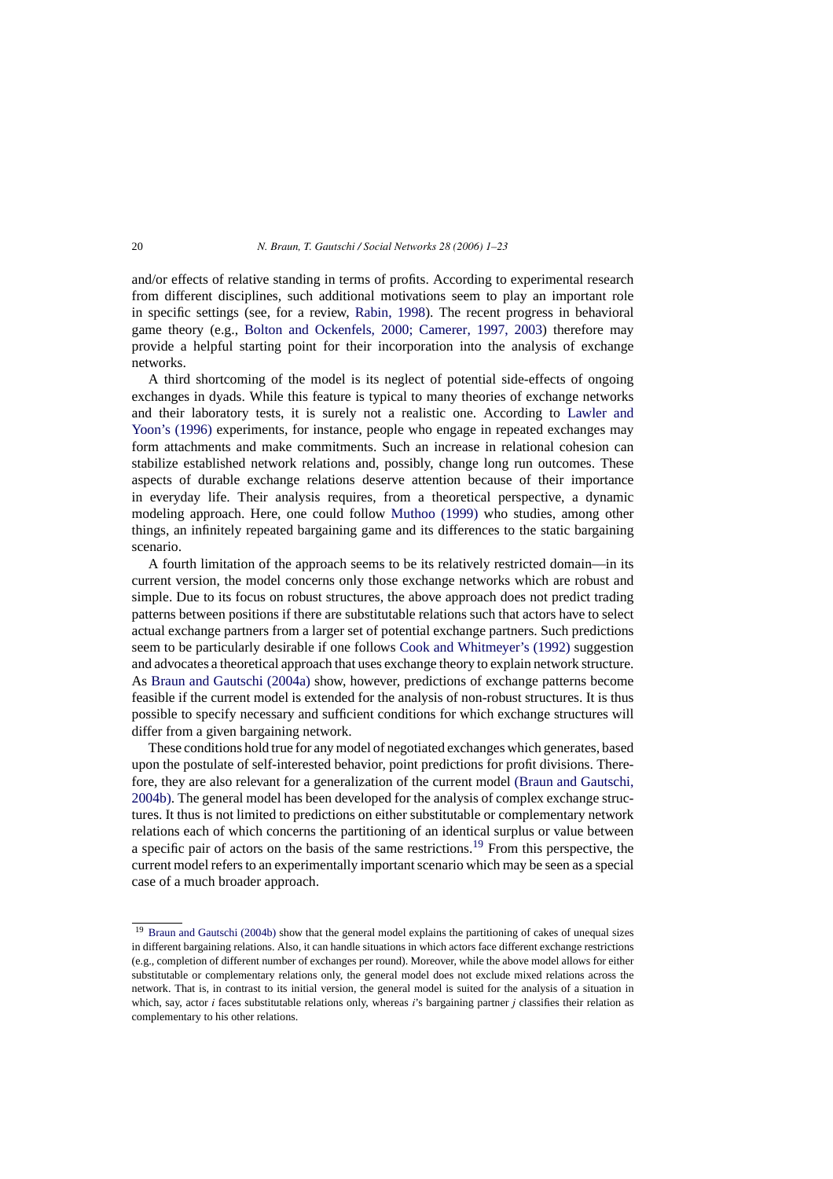and/or effects of relative standing in terms of profits. According to experimental research from different disciplines, such additional motivations seem to play an important role in specific settings (see, for a review, [Rabin, 1998\).](#page-21-0) The recent progress in behavioral game theory (e.g., [Bolton and Ockenfels, 2000; Camerer, 1997, 2003\)](#page-20-0) therefore may provide a helpful starting point for their incorporation into the analysis of exchange networks.

A third shortcoming of the model is its neglect of potential side-effects of ongoing exchanges in dyads. While this feature is typical to many theories of exchange networks and their laboratory tests, it is surely not a realistic one. According to [Lawler and](#page-21-0) Yoon's (1996) experiments, for instance, people who engage in repeated exchanges may form attachments and make commitments. Such an increase in relational cohesion can stabilize established network relations and, possibly, change long run outcomes. These aspects of durable exchange relations deserve attention because of their importance in everyday life. Their analysis requires, from a theoretical perspective, a dynamic modeling approach. Here, one could follow [Muthoo \(1999\)](#page-21-0) who studies, among other things, an infinitely repeated bargaining game and its differences to the static bargaining scenario.

A fourth limitation of the approach seems to be its relatively restricted domain—in its current version, the model concerns only those exchange networks which are robust and simple. Due to its focus on robust structures, the above approach does not predict trading patterns between positions if there are substitutable relations such that actors have to select actual exchange partners from a larger set of potential exchange partners. Such predictions seem to be particularly desirable if one follows [Cook and Whitmeyer's \(1992\)](#page-20-0) suggestion and advocates a theoretical approach that uses exchange theory to explain network structure. As [Braun and Gautschi \(2004a\)](#page-20-0) show, however, predictions of exchange patterns become feasible if the current model is extended for the analysis of non-robust structures. It is thus possible to specify necessary and sufficient conditions for which exchange structures will differ from a given bargaining network.

These conditions hold true for any model of negotiated exchanges which generates, based upon the postulate of self-interested behavior, point predictions for profit divisions. Therefore, they are also relevant for a generalization of the current model [\(Braun and Gautschi,](#page-20-0) [2004b\). T](#page-20-0)he general model has been developed for the analysis of complex exchange structures. It thus is not limited to predictions on either substitutable or complementary network relations each of which concerns the partitioning of an identical surplus or value between a specific pair of actors on the basis of the same restrictions.19 From this perspective, the current model refers to an experimentally important scenario which may be seen as a special case of a much broader approach.

<sup>19</sup> [Braun and Gautschi \(2004b\)](#page-20-0) [s](#page-20-0)how that the general model explains the partitioning of cakes of unequal sizes in different bargaining relations. Also, it can handle situations in which actors face different exchange restrictions (e.g., completion of different number of exchanges per round). Moreover, while the above model allows for either substitutable or complementary relations only, the general model does not exclude mixed relations across the network. That is, in contrast to its initial version, the general model is suited for the analysis of a situation in which, say, actor *i* faces substitutable relations only, whereas *i*'s bargaining partner *j* classifies their relation as complementary to his other relations.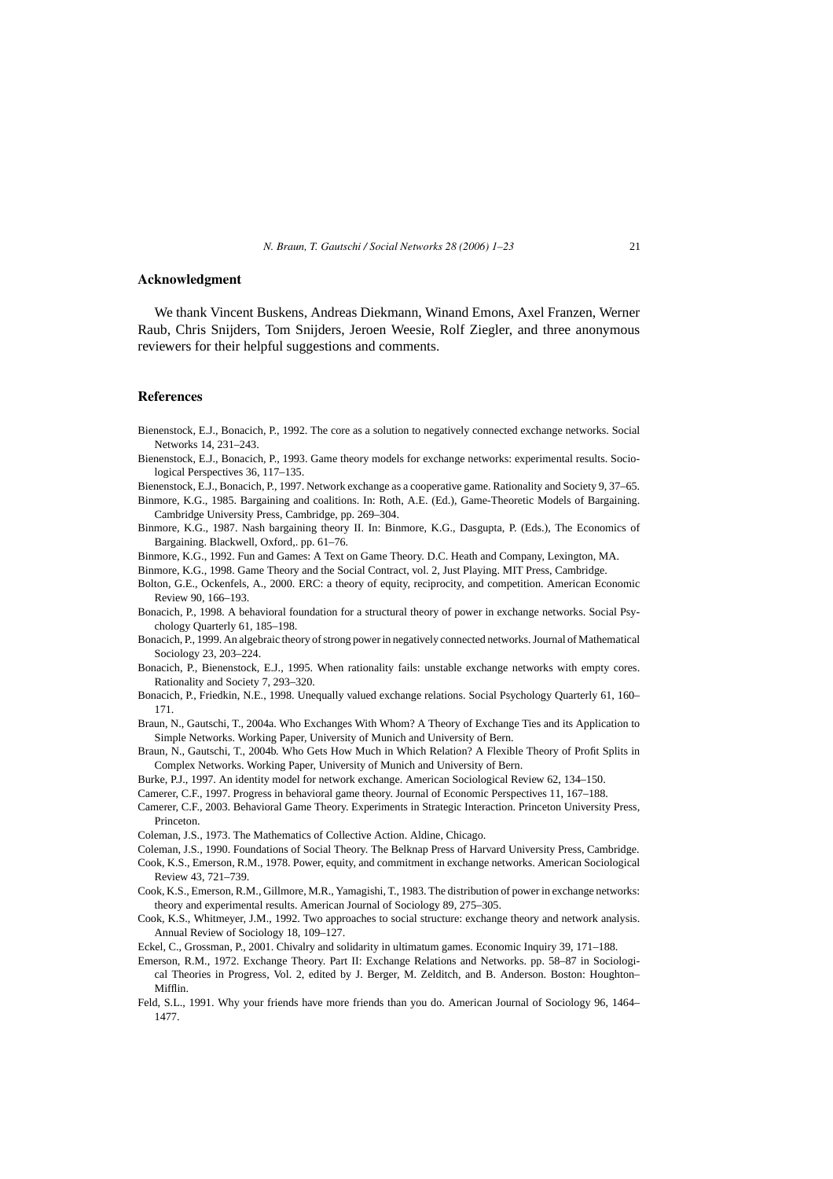### <span id="page-20-0"></span>**Acknowledgment**

We thank Vincent Buskens, Andreas Diekmann, Winand Emons, Axel Franzen, Werner Raub, Chris Snijders, Tom Snijders, Jeroen Weesie, Rolf Ziegler, and three anonymous reviewers for their helpful suggestions and comments.

# **References**

- Bienenstock, E.J., Bonacich, P., 1992. The core as a solution to negatively connected exchange networks. Social Networks 14, 231–243.
- Bienenstock, E.J., Bonacich, P., 1993. Game theory models for exchange networks: experimental results. Sociological Perspectives 36, 117–135.
- Bienenstock, E.J., Bonacich, P., 1997. Network exchange as a cooperative game. Rationality and Society 9, 37–65.
- Binmore, K.G., 1985. Bargaining and coalitions. In: Roth, A.E. (Ed.), Game-Theoretic Models of Bargaining. Cambridge University Press, Cambridge, pp. 269–304.
- Binmore, K.G., 1987. Nash bargaining theory II. In: Binmore, K.G., Dasgupta, P. (Eds.), The Economics of Bargaining. Blackwell, Oxford,. pp. 61–76.
- Binmore, K.G., 1992. Fun and Games: A Text on Game Theory. D.C. Heath and Company, Lexington, MA.
- Binmore, K.G., 1998. Game Theory and the Social Contract, vol. 2, Just Playing. MIT Press, Cambridge.
- Bolton, G.E., Ockenfels, A., 2000. ERC: a theory of equity, reciprocity, and competition. American Economic Review 90, 166–193.
- Bonacich, P., 1998. A behavioral foundation for a structural theory of power in exchange networks. Social Psychology Quarterly 61, 185–198.
- Bonacich, P., 1999. An algebraic theory of strong power in negatively connected networks. Journal of Mathematical Sociology 23, 203–224.
- Bonacich, P., Bienenstock, E.J., 1995. When rationality fails: unstable exchange networks with empty cores. Rationality and Society 7, 293–320.
- Bonacich, P., Friedkin, N.E., 1998. Unequally valued exchange relations. Social Psychology Quarterly 61, 160– 171.
- Braun, N., Gautschi, T., 2004a. Who Exchanges With Whom? A Theory of Exchange Ties and its Application to Simple Networks. Working Paper, University of Munich and University of Bern.
- Braun, N., Gautschi, T., 2004b. Who Gets How Much in Which Relation? A Flexible Theory of Profit Splits in Complex Networks. Working Paper, University of Munich and University of Bern.
- Burke, P.J., 1997. An identity model for network exchange. American Sociological Review 62, 134–150.
- Camerer, C.F., 1997. Progress in behavioral game theory. Journal of Economic Perspectives 11, 167–188.
- Camerer, C.F., 2003. Behavioral Game Theory. Experiments in Strategic Interaction. Princeton University Press, Princeton.
- Coleman, J.S., 1973. The Mathematics of Collective Action. Aldine, Chicago.
- Coleman, J.S., 1990. Foundations of Social Theory. The Belknap Press of Harvard University Press, Cambridge.
- Cook, K.S., Emerson, R.M., 1978. Power, equity, and commitment in exchange networks. American Sociological Review 43, 721–739.
- Cook, K.S., Emerson, R.M., Gillmore, M.R., Yamagishi, T., 1983. The distribution of power in exchange networks: theory and experimental results. American Journal of Sociology 89, 275–305.
- Cook, K.S., Whitmeyer, J.M., 1992. Two approaches to social structure: exchange theory and network analysis. Annual Review of Sociology 18, 109–127.
- Eckel, C., Grossman, P., 2001. Chivalry and solidarity in ultimatum games. Economic Inquiry 39, 171–188.
- Emerson, R.M., 1972. Exchange Theory. Part II: Exchange Relations and Networks. pp. 58–87 in Sociological Theories in Progress, Vol. 2, edited by J. Berger, M. Zelditch, and B. Anderson. Boston: Houghton– Mifflin.
- Feld, S.L., 1991. Why your friends have more friends than you do. American Journal of Sociology 96, 1464– 1477.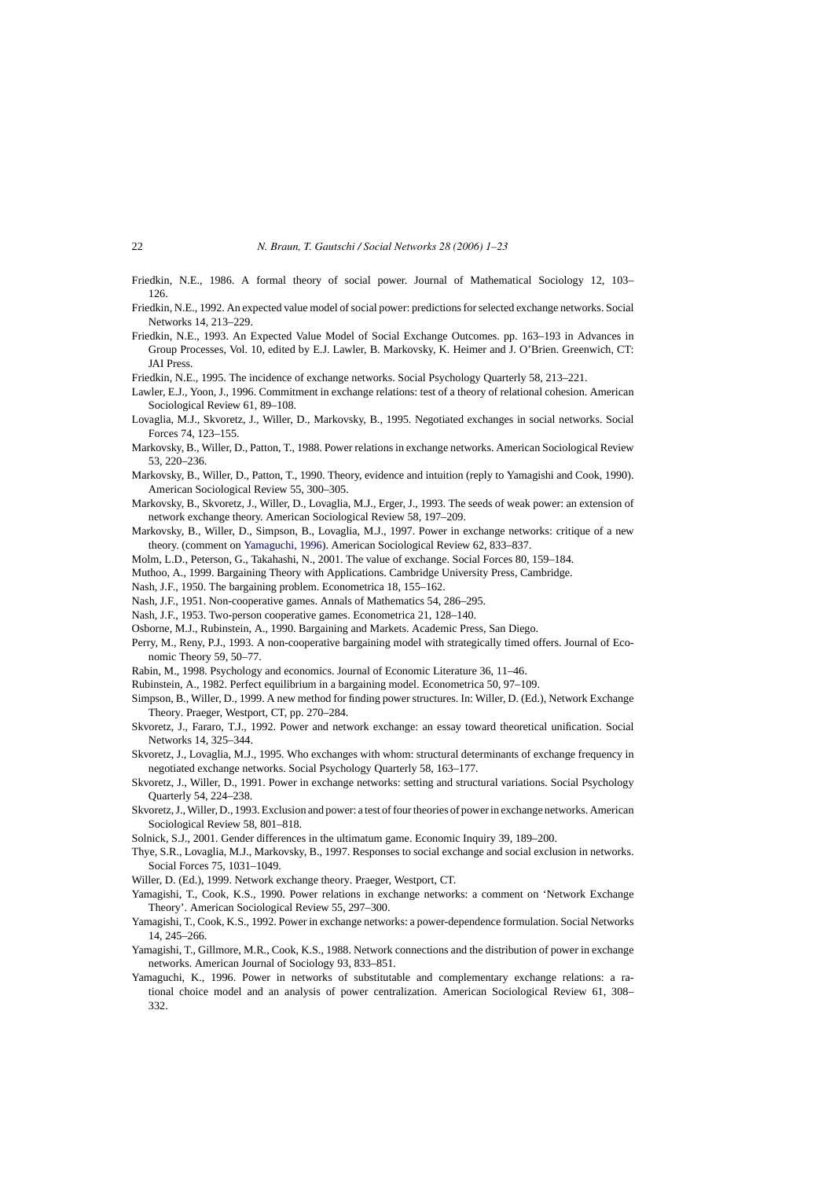- <span id="page-21-0"></span>Friedkin, N.E., 1986. A formal theory of social power. Journal of Mathematical Sociology 12, 103– 126.
- Friedkin, N.E., 1992. An expected value model of social power: predictions for selected exchange networks. Social Networks 14, 213–229.
- Friedkin, N.E., 1993. An Expected Value Model of Social Exchange Outcomes. pp. 163–193 in Advances in Group Processes, Vol. 10, edited by E.J. Lawler, B. Markovsky, K. Heimer and J. O'Brien. Greenwich, CT: JAI Press.
- Friedkin, N.E., 1995. The incidence of exchange networks. Social Psychology Quarterly 58, 213–221.
- Lawler, E.J., Yoon, J., 1996. Commitment in exchange relations: test of a theory of relational cohesion. American Sociological Review 61, 89–108.
- Lovaglia, M.J., Skvoretz, J., Willer, D., Markovsky, B., 1995. Negotiated exchanges in social networks. Social Forces 74, 123–155.
- Markovsky, B., Willer, D., Patton, T., 1988. Power relations in exchange networks. American Sociological Review 53, 220–236.
- Markovsky, B., Willer, D., Patton, T., 1990. Theory, evidence and intuition (reply to Yamagishi and Cook, 1990). American Sociological Review 55, 300–305.
- Markovsky, B., Skvoretz, J., Willer, D., Lovaglia, M.J., Erger, J., 1993. The seeds of weak power: an extension of network exchange theory. American Sociological Review 58, 197–209.
- Markovsky, B., Willer, D., Simpson, B., Lovaglia, M.J., 1997. Power in exchange networks: critique of a new theory. (comment on Yamaguchi, 1996). American Sociological Review 62, 833–837.
- Molm, L.D., Peterson, G., Takahashi, N., 2001. The value of exchange. Social Forces 80, 159–184.
- Muthoo, A., 1999. Bargaining Theory with Applications. Cambridge University Press, Cambridge.
- Nash, J.F., 1950. The bargaining problem. Econometrica 18, 155–162.
- Nash, J.F., 1951. Non-cooperative games. Annals of Mathematics 54, 286–295.
- Nash, J.F., 1953. Two-person cooperative games. Econometrica 21, 128–140.
- Osborne, M.J., Rubinstein, A., 1990. Bargaining and Markets. Academic Press, San Diego.
- Perry, M., Reny, P.J., 1993. A non-cooperative bargaining model with strategically timed offers. Journal of Economic Theory 59, 50–77.
- Rabin, M., 1998. Psychology and economics. Journal of Economic Literature 36, 11–46.
- Rubinstein, A., 1982. Perfect equilibrium in a bargaining model. Econometrica 50, 97–109.
- Simpson, B., Willer, D., 1999. A new method for finding power structures. In: Willer, D. (Ed.), Network Exchange Theory. Praeger, Westport, CT, pp. 270–284.
- Skvoretz, J., Fararo, T.J., 1992. Power and network exchange: an essay toward theoretical unification. Social Networks 14, 325–344.
- Skvoretz, J., Lovaglia, M.J., 1995. Who exchanges with whom: structural determinants of exchange frequency in negotiated exchange networks. Social Psychology Quarterly 58, 163–177.
- Skvoretz, J., Willer, D., 1991. Power in exchange networks: setting and structural variations. Social Psychology Quarterly 54, 224–238.
- Skvoretz, J., Willer, D., 1993. Exclusion and power: a test of four theories of power in exchange networks. American Sociological Review 58, 801–818.
- Solnick, S.J., 2001. Gender differences in the ultimatum game. Economic Inquiry 39, 189–200.
- Thye, S.R., Lovaglia, M.J., Markovsky, B., 1997. Responses to social exchange and social exclusion in networks. Social Forces 75, 1031–1049.
- Willer, D. (Ed.), 1999. Network exchange theory. Praeger, Westport, CT.
- Yamagishi, T., Cook, K.S., 1990. Power relations in exchange networks: a comment on 'Network Exchange Theory'. American Sociological Review 55, 297–300.
- Yamagishi, T., Cook, K.S., 1992. Power in exchange networks: a power-dependence formulation. Social Networks 14, 245–266.
- Yamagishi, T., Gillmore, M.R., Cook, K.S., 1988. Network connections and the distribution of power in exchange networks. American Journal of Sociology 93, 833–851.
- Yamaguchi, K., 1996. Power in networks of substitutable and complementary exchange relations: a rational choice model and an analysis of power centralization. American Sociological Review 61, 308– 332.